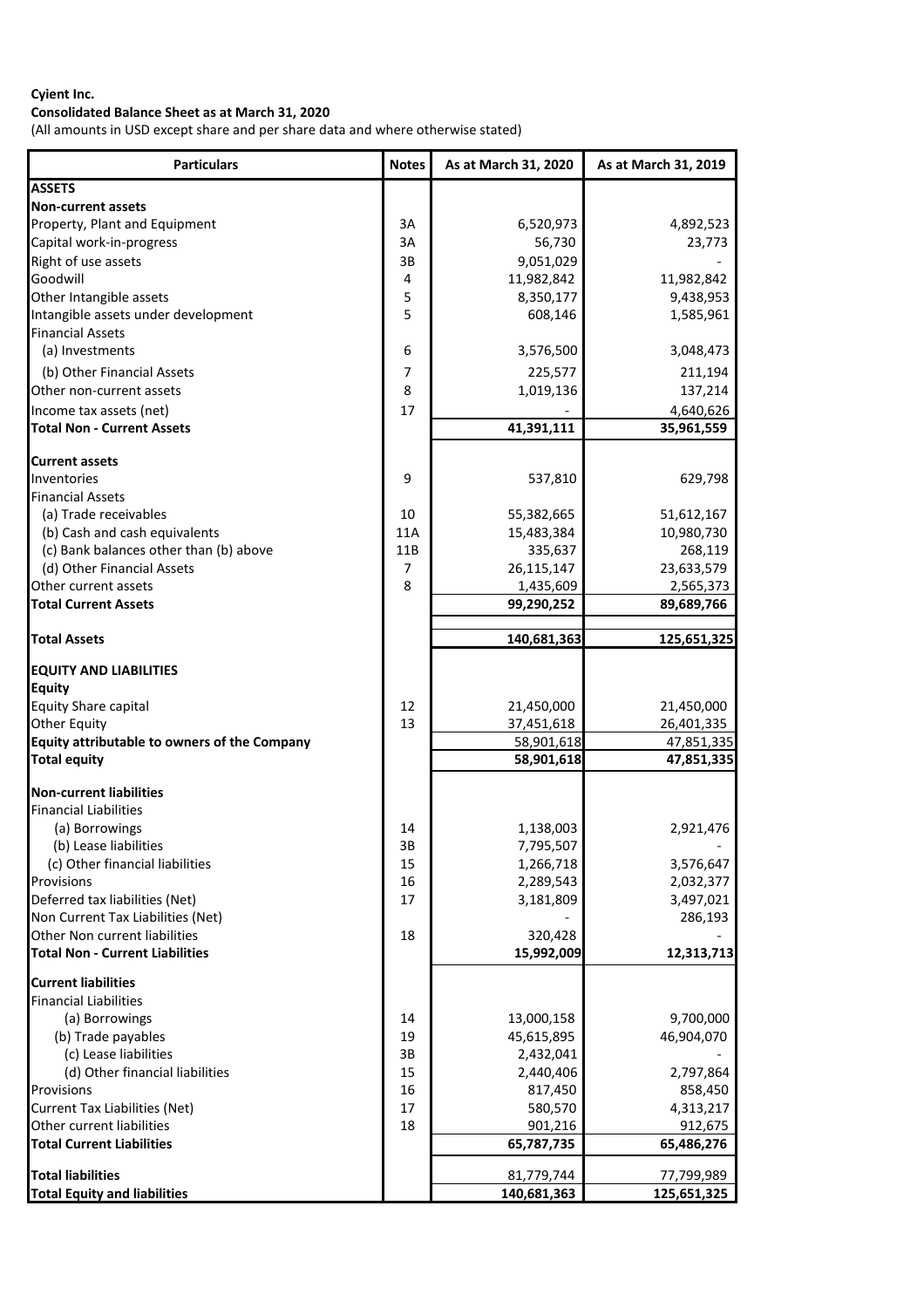# **Consolidated Balance Sheet as at March 31, 2020**

(All amounts in USD except share and per share data and where otherwise stated)

| <b>Particulars</b>                                                      | <b>Notes</b> | As at March 31, 2020  | As at March 31, 2019 |
|-------------------------------------------------------------------------|--------------|-----------------------|----------------------|
| <b>ASSETS</b>                                                           |              |                       |                      |
| <b>Non-current assets</b>                                               |              |                       |                      |
| Property, Plant and Equipment                                           | 3A           | 6,520,973             | 4,892,523            |
| Capital work-in-progress                                                | 3A           | 56,730                | 23,773               |
| Right of use assets                                                     | 3B           | 9,051,029             |                      |
| Goodwill                                                                | 4            | 11,982,842            | 11,982,842           |
| Other Intangible assets                                                 | 5            | 8,350,177             | 9,438,953            |
| Intangible assets under development                                     | 5            | 608,146               | 1,585,961            |
| <b>Financial Assets</b>                                                 |              |                       |                      |
| (a) Investments                                                         | 6            | 3,576,500             | 3,048,473            |
| (b) Other Financial Assets                                              | 7            | 225,577               | 211,194              |
| Other non-current assets                                                | 8            | 1,019,136             | 137,214              |
| Income tax assets (net)                                                 | 17           |                       | 4,640,626            |
| <b>Total Non - Current Assets</b>                                       |              | 41,391,111            | 35,961,559           |
|                                                                         |              |                       |                      |
| <b>Current assets</b>                                                   |              |                       |                      |
| Inventories                                                             | 9            | 537,810               | 629,798              |
| <b>Financial Assets</b>                                                 |              |                       |                      |
| (a) Trade receivables                                                   | 10           | 55,382,665            | 51,612,167           |
| (b) Cash and cash equivalents                                           | <b>11A</b>   | 15,483,384            | 10,980,730           |
| (c) Bank balances other than (b) above                                  | 11B          | 335,637               | 268,119              |
| (d) Other Financial Assets                                              | 7            | 26,115,147            | 23,633,579           |
| Other current assets                                                    | 8            | 1,435,609             | 2,565,373            |
| <b>Total Current Assets</b>                                             |              | 99,290,252            | 89,689,766           |
|                                                                         |              |                       |                      |
| <b>Total Assets</b>                                                     |              | 140,681,363           | 125,651,325          |
| <b>EQUITY AND LIABILITIES</b>                                           |              |                       |                      |
| <b>Equity</b>                                                           |              |                       |                      |
| <b>Equity Share capital</b>                                             | 12           | 21,450,000            | 21,450,000           |
| <b>Other Equity</b>                                                     | 13           | 37,451,618            | 26,401,335           |
| Equity attributable to owners of the Company                            |              | 58,901,618            | 47,851,335           |
| <b>Total equity</b>                                                     |              | 58,901,618            | 47,851,335           |
|                                                                         |              |                       |                      |
| <b>Non-current liabilities</b>                                          |              |                       |                      |
| <b>Financial Liabilities</b>                                            |              |                       |                      |
| (a) Borrowings                                                          | 14           | 1,138,003             | 2,921,476            |
| (b) Lease liabilities                                                   | 3B           | 7,795,507             |                      |
| (c) Other financial liabilities                                         | 15           | 1,266,718             | 3,576,647            |
| Provisions                                                              | 16           | 2,289,543             | 2,032,377            |
| Deferred tax liabilities (Net)                                          | 17           | 3,181,809             | 3,497,021            |
| Non Current Tax Liabilities (Net)                                       |              |                       | 286,193              |
| Other Non current liabilities<br><b>Total Non - Current Liabilities</b> | 18           | 320,428<br>15,992,009 | 12,313,713           |
|                                                                         |              |                       |                      |
| <b>Current liabilities</b>                                              |              |                       |                      |
| <b>Financial Liabilities</b>                                            |              |                       |                      |
| (a) Borrowings                                                          | 14           | 13,000,158            | 9,700,000            |
| (b) Trade payables                                                      | 19           | 45,615,895            | 46,904,070           |
| (c) Lease liabilities                                                   | 3B           | 2,432,041             |                      |
| (d) Other financial liabilities                                         | 15           | 2,440,406             | 2,797,864            |
| Provisions                                                              | 16           | 817,450               | 858,450              |
| <b>Current Tax Liabilities (Net)</b>                                    | 17           | 580,570               | 4,313,217            |
| Other current liabilities                                               | 18           | 901,216               | 912,675              |
| <b>Total Current Liabilities</b>                                        |              | 65,787,735            | 65,486,276           |
| <b>Total liabilities</b>                                                |              | 81,779,744            | 77,799,989           |
| <b>Total Equity and liabilities</b>                                     |              | 140,681,363           | 125,651,325          |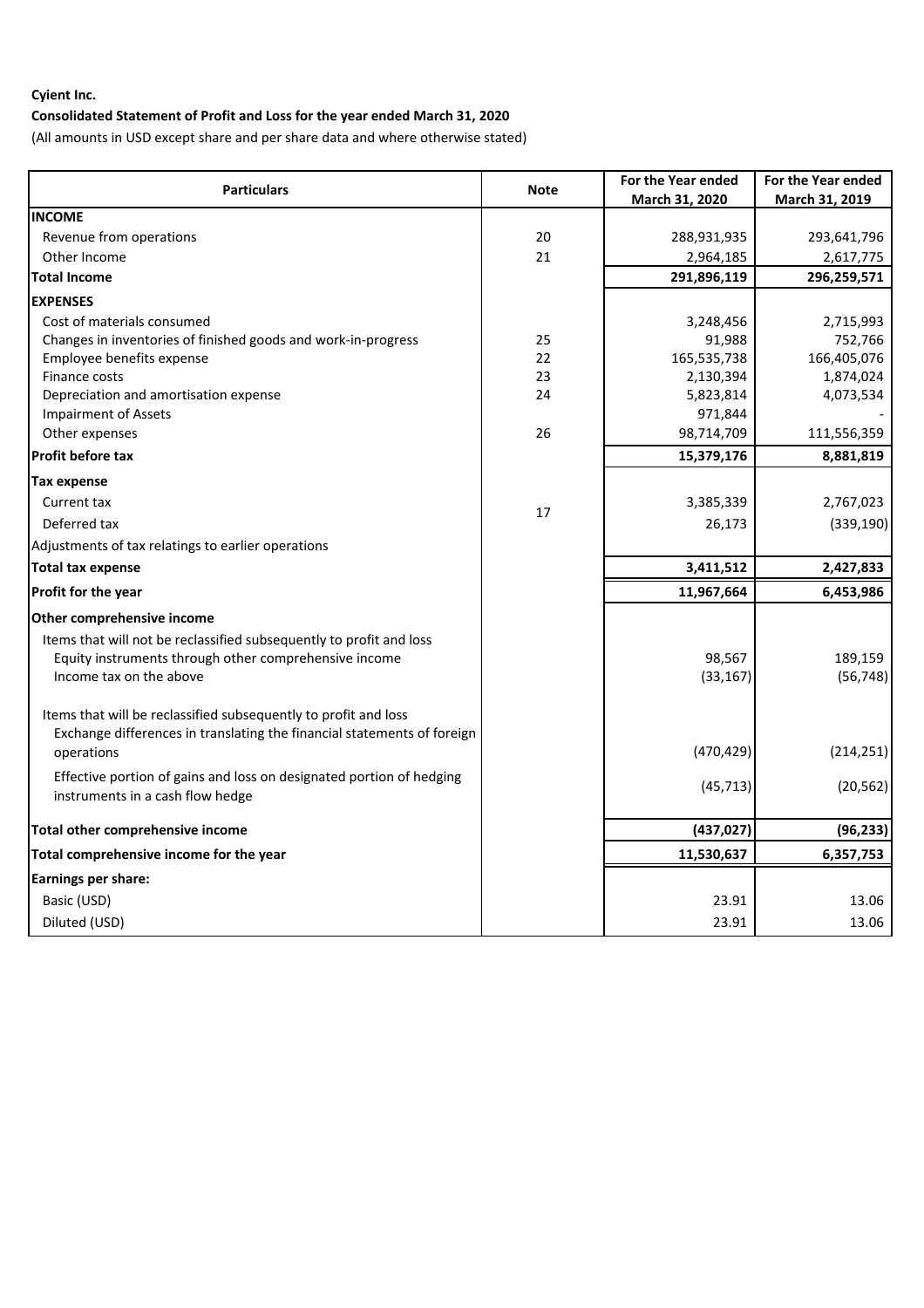# **Consolidated Statement of Profit and Loss for the year ended March 31, 2020**

(All amounts in USD except share and per share data and where otherwise stated)

| <b>Particulars</b>                                                      |             | For the Year ended | For the Year ended |
|-------------------------------------------------------------------------|-------------|--------------------|--------------------|
|                                                                         | <b>Note</b> | March 31, 2020     | March 31, 2019     |
| <b>INCOME</b>                                                           |             |                    |                    |
| Revenue from operations                                                 | 20          | 288,931,935        | 293,641,796        |
| Other Income                                                            | 21          | 2,964,185          | 2,617,775          |
| <b>Total Income</b>                                                     |             | 291,896,119        | 296,259,571        |
| <b>EXPENSES</b>                                                         |             |                    |                    |
| Cost of materials consumed                                              |             | 3,248,456          | 2,715,993          |
| Changes in inventories of finished goods and work-in-progress           | 25          | 91,988             | 752,766            |
| Employee benefits expense                                               | 22          | 165,535,738        | 166,405,076        |
| Finance costs                                                           | 23          | 2,130,394          | 1,874,024          |
| Depreciation and amortisation expense                                   | 24          | 5,823,814          | 4,073,534          |
| <b>Impairment of Assets</b>                                             |             | 971,844            |                    |
| Other expenses                                                          | 26          | 98,714,709         | 111,556,359        |
| <b>Profit before tax</b>                                                |             | 15,379,176         | 8,881,819          |
| <b>Tax expense</b>                                                      |             |                    |                    |
| Current tax                                                             | 17          | 3,385,339          | 2,767,023          |
| Deferred tax                                                            |             | 26,173             | (339, 190)         |
| Adjustments of tax relatings to earlier operations                      |             |                    |                    |
| <b>Total tax expense</b>                                                |             | 3,411,512          | 2,427,833          |
| Profit for the year                                                     |             | 11,967,664         | 6,453,986          |
| Other comprehensive income                                              |             |                    |                    |
| Items that will not be reclassified subsequently to profit and loss     |             |                    |                    |
| Equity instruments through other comprehensive income                   |             | 98,567             | 189,159            |
| Income tax on the above                                                 |             | (33, 167)          | (56, 748)          |
| Items that will be reclassified subsequently to profit and loss         |             |                    |                    |
| Exchange differences in translating the financial statements of foreign |             |                    |                    |
| operations                                                              |             | (470, 429)         | (214, 251)         |
| Effective portion of gains and loss on designated portion of hedging    |             |                    |                    |
| instruments in a cash flow hedge                                        |             | (45, 713)          | (20, 562)          |
| Total other comprehensive income                                        |             | (437, 027)         | (96, 233)          |
| Total comprehensive income for the year                                 |             | 11,530,637         | 6,357,753          |
| Earnings per share:                                                     |             |                    |                    |
| Basic (USD)                                                             |             | 23.91              | 13.06              |
|                                                                         |             |                    |                    |
| Diluted (USD)                                                           |             | 23.91              | 13.06              |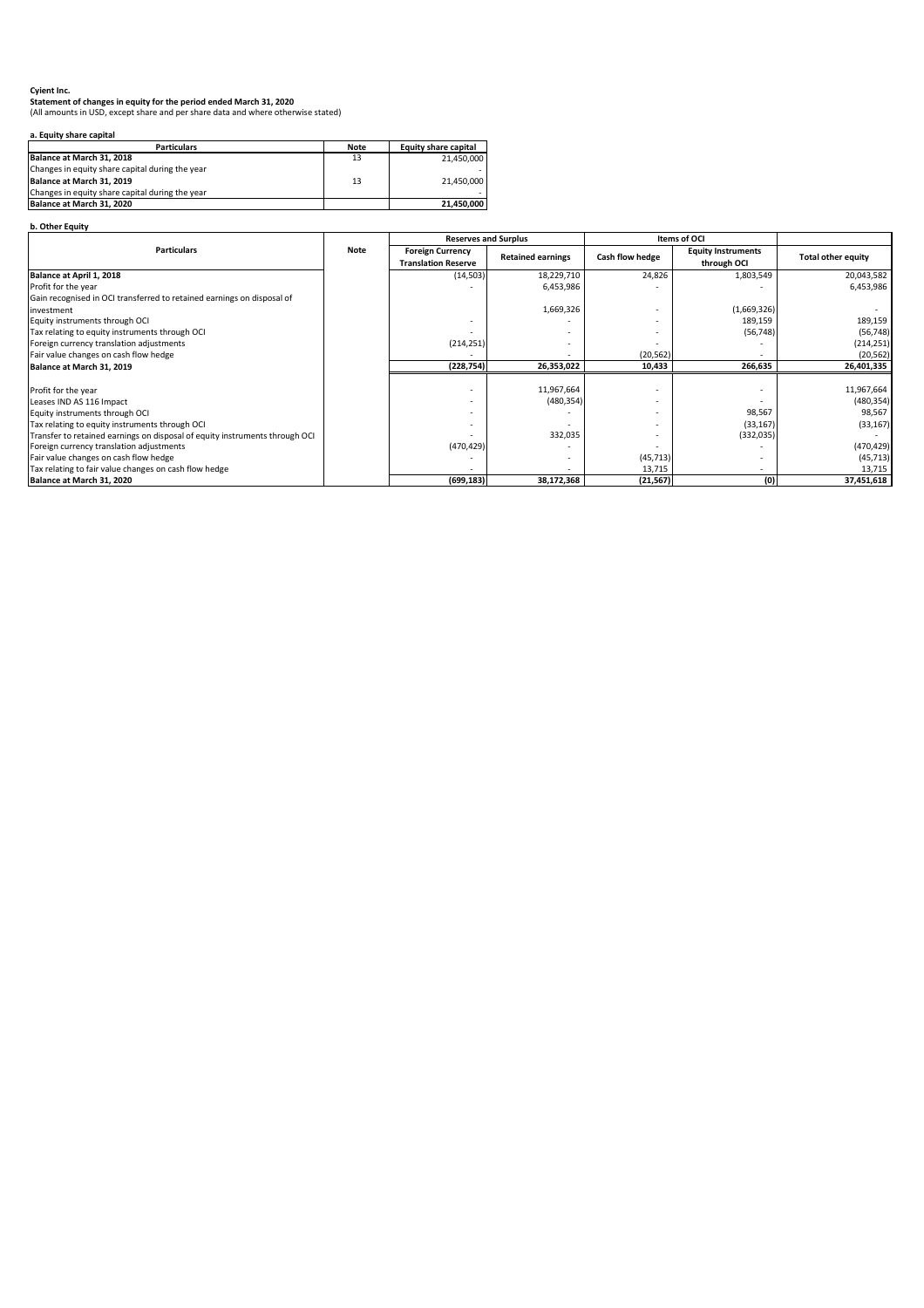# **Statement of changes in equity for the period ended March 31, 2020**

(All amounts in USD, except share and per share data and where otherwise stated)

# **a. Equity share capital**

| <b>Particulars</b>                              | <b>Note</b> | Equity share capital |
|-------------------------------------------------|-------------|----------------------|
| Balance at March 31, 2018                       | 13          | 21,450,000           |
| Changes in equity share capital during the year |             |                      |
| Balance at March 31, 2019                       | 13          | 21,450,000           |
| Changes in equity share capital during the year |             |                      |
| Balance at March 31, 2020                       |             | 21,450,000           |

# **b. Other Equity**

|                                                                             |             | <b>Reserves and Surplus</b> |                          | <b>Items of OCI</b> |                           |                           |
|-----------------------------------------------------------------------------|-------------|-----------------------------|--------------------------|---------------------|---------------------------|---------------------------|
| <b>Particulars</b>                                                          | <b>Note</b> | <b>Foreign Currency</b>     | <b>Retained earnings</b> |                     | <b>Equity Instruments</b> | <b>Total other equity</b> |
|                                                                             |             | <b>Translation Reserve</b>  |                          | Cash flow hedge     | through OCI               |                           |
| Balance at April 1, 2018                                                    |             | (14, 503)                   | 18,229,710               | 24,826              | 1,803,549                 | 20,043,582                |
| Profit for the year                                                         |             |                             | 6,453,986                |                     |                           | 6,453,986                 |
| Gain recognised in OCI transferred to retained earnings on disposal of      |             |                             |                          |                     |                           |                           |
| investment                                                                  |             |                             | 1,669,326                |                     | (1,669,326)               |                           |
| Equity instruments through OCI                                              |             |                             |                          |                     | 189,159                   | 189,159                   |
| Tax relating to equity instruments through OCI                              |             |                             |                          |                     | (56, 748)                 | (56, 748)                 |
| Foreign currency translation adjustments                                    |             | (214, 251)                  |                          |                     |                           | (214, 251)                |
| Fair value changes on cash flow hedge                                       |             |                             |                          | (20, 562)           |                           | (20, 562)                 |
| Balance at March 31, 2019                                                   |             | (228, 754)                  | 26,353,022               | 10,433              | 266,635                   | 26,401,335                |
|                                                                             |             |                             |                          |                     |                           |                           |
| Profit for the year                                                         |             |                             | 11,967,664               |                     |                           | 11,967,664                |
| Leases IND AS 116 Impact                                                    |             |                             | (480, 354)               |                     |                           | (480, 354)                |
| Equity instruments through OCI                                              |             |                             |                          |                     | 98,567                    | 98,567                    |
| Tax relating to equity instruments through OCI                              |             |                             |                          |                     | (33, 167)                 | (33, 167)                 |
| Transfer to retained earnings on disposal of equity instruments through OCI |             |                             | 332,035                  |                     | (332,035)                 |                           |
| Foreign currency translation adjustments                                    |             | (470, 429)                  |                          |                     |                           | (470, 429)                |
| Fair value changes on cash flow hedge                                       |             |                             |                          | (45, 713)           |                           | (45, 713)                 |
| Tax relating to fair value changes on cash flow hedge                       |             |                             |                          | 13,715              |                           | 13,715                    |
| Balance at March 31, 2020                                                   |             | (699, 183)                  | 38,172,368               | (21, 567)           | (0)                       | 37,451,618                |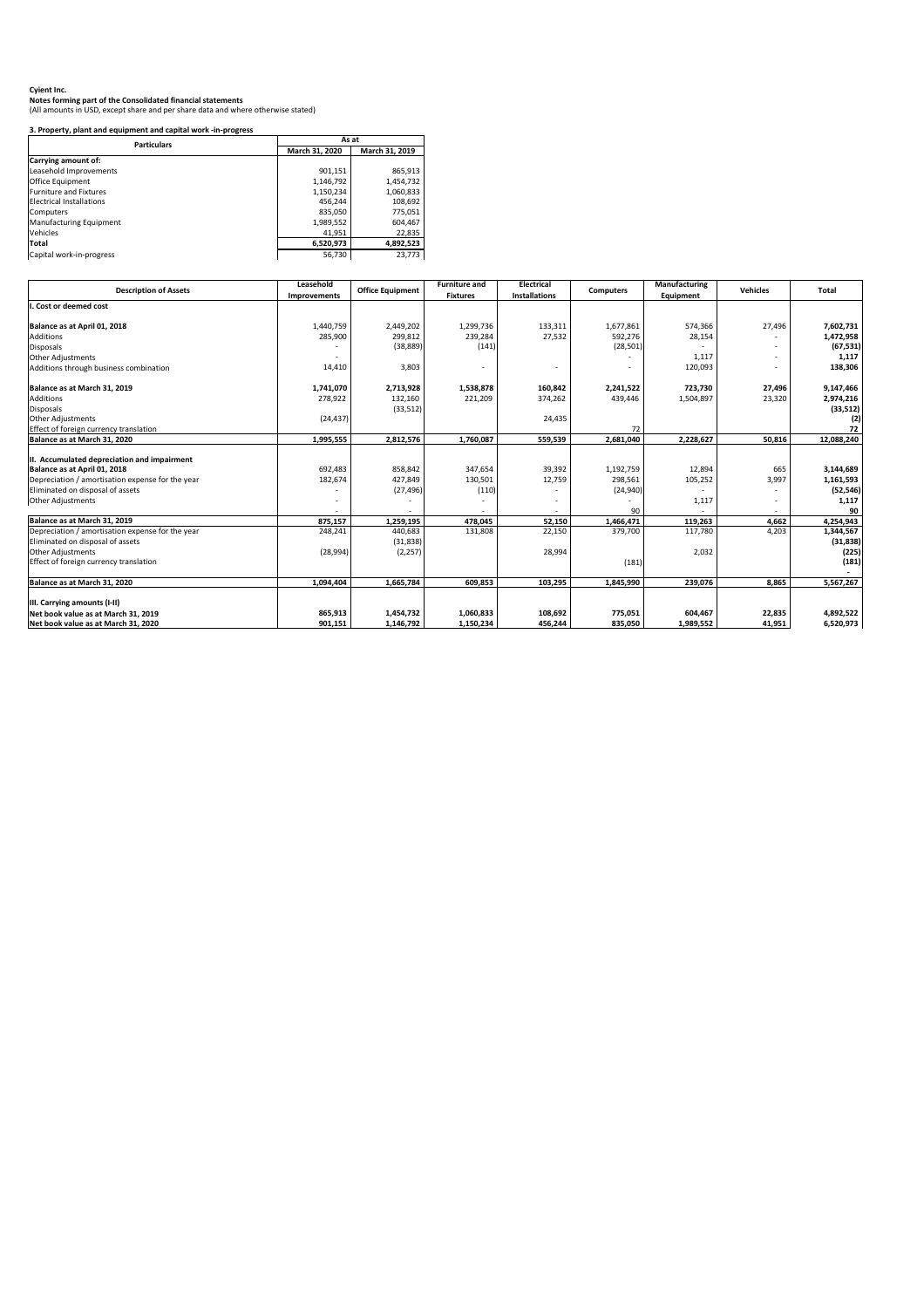(All amounts in USD, except share and per share data and where otherwise stated)

# **3. Property, plant and equipment and capital work -in-progress**

| <b>Particulars</b>              | As at          |                |  |  |
|---------------------------------|----------------|----------------|--|--|
|                                 | March 31, 2020 | March 31, 2019 |  |  |
| <b>Carrying amount of:</b>      |                |                |  |  |
| Leasehold Improvements          | 901,151        | 865,913        |  |  |
| <b>Office Equipment</b>         | 1,146,792      | 1,454,732      |  |  |
| <b>Furniture and Fixtures</b>   | 1,150,234      | 1,060,833      |  |  |
| <b>Electrical Installations</b> | 456,244        | 108,692        |  |  |
| <b>Computers</b>                | 835,050        | 775,051        |  |  |
| <b>Manufacturing Equipment</b>  | 1,989,552      | 604,467        |  |  |
| <b>Vehicles</b>                 | 41,951         | 22,835         |  |  |
| Total                           | 6,520,973      | 4,892,523      |  |  |
| Capital work-in-progress        | 56,730         | 23,773         |  |  |

| <b>Description of Assets</b>                     | Leasehold    | <b>Office Equipment</b> | <b>Furniture and</b> | <b>Electrical</b>    | <b>Computers</b> | Manufacturing    | <b>Vehicles</b> | <b>Total</b> |
|--------------------------------------------------|--------------|-------------------------|----------------------|----------------------|------------------|------------------|-----------------|--------------|
|                                                  | Improvements |                         | <b>Fixtures</b>      | <b>Installations</b> |                  | <b>Equipment</b> |                 |              |
| . Cost or deemed cost                            |              |                         |                      |                      |                  |                  |                 |              |
| Balance as at April 01, 2018                     | 1,440,759    | 2,449,202               | 1,299,736            | 133,311              | 1,677,861        | 574,366          | 27,496          | 7,602,731    |
| <b>Additions</b>                                 | 285,900      | 299,812                 | 239,284              | 27,532               | 592,276          | 28,154           |                 | 1,472,958    |
| <b>Disposals</b>                                 |              | (38, 889)               | (141)                |                      | (28, 501)        |                  |                 | (67, 531)    |
| Other Adjustments                                |              |                         |                      |                      |                  | 1,117            |                 | 1,117        |
| Additions through business combination           | 14,410       | 3,803                   |                      |                      |                  | 120,093          |                 | 138,306      |
| Balance as at March 31, 2019                     | 1,741,070    | 2,713,928               | 1,538,878            | 160,842              | 2,241,522        | 723,730          | 27,496          | 9,147,466    |
| <b>Additions</b>                                 | 278,922      | 132,160                 | 221,209              | 374,262              | 439,446          | 1,504,897        | 23,320          | 2,974,216    |
| Disposals                                        |              | (33, 512)               |                      |                      |                  |                  |                 | (33, 512)    |
| <b>Other Adjustments</b>                         | (24, 437)    |                         |                      | 24,435               |                  |                  |                 |              |
| Effect of foreign currency translation           |              |                         |                      |                      | 72               |                  |                 | 72           |
| Balance as at March 31, 2020                     | 1,995,555    | 2,812,576               | 1,760,087            | 559,539              | 2,681,040        | 2,228,627        | 50,816          | 12,088,240   |
|                                                  |              |                         |                      |                      |                  |                  |                 |              |
| II. Accumulated depreciation and impairment      |              |                         |                      |                      |                  |                  |                 |              |
| Balance as at April 01, 2018                     | 692,483      | 858,842                 | 347,654              | 39,392               | 1,192,759        | 12,894           | 665             | 3,144,689    |
| Depreciation / amortisation expense for the year | 182,674      | 427,849                 | 130,501              | 12,759               | 298,561          | 105,252          | 3,997           | 1,161,593    |
| Eliminated on disposal of assets                 |              | (27, 496)               | (110)                |                      | (24, 940)        |                  |                 | (52, 546)    |
| Other Adjustments                                |              |                         |                      |                      |                  | 1,117            |                 | 1,117        |
|                                                  |              |                         |                      |                      | 90               |                  |                 | 90           |
| Balance as at March 31, 2019                     | 875,157      | 1,259,195               | 478,045              | 52,150               | 1,466,471        | 119,263          | 4,662           | 4,254,943    |
| Depreciation / amortisation expense for the year | 248,241      | 440,683                 | 131,808              | 22,150               | 379,700          | 117,780          | 4,203           | 1,344,567    |
| Eliminated on disposal of assets                 |              | (31, 838)               |                      |                      |                  |                  |                 | (31, 838)    |
| <b>Other Adjustments</b>                         | (28, 994)    | (2, 257)                |                      | 28,994               |                  | 2,032            |                 | (225)        |
| Effect of foreign currency translation           |              |                         |                      |                      | (181)            |                  |                 | (181)        |
| Balance as at March 31, 2020                     | 1,094,404    | 1,665,784               | 609,853              | 103,295              | 1,845,990        | 239,076          | 8,865           | 5,567,267    |
| III. Carrying amounts (I-II)                     |              |                         |                      |                      |                  |                  |                 |              |
| Net book value as at March 31, 2019              | 865,913      | 1,454,732               | 1,060,833            | 108,692              | 775,051          | 604,467          | 22,835          | 4,892,522    |
| Net book value as at March 31, 2020              | 901,151      | 1,146,792               | 1,150,234            | 456,244              | 835,050          | 1,989,552        | 41,951          | 6,520,973    |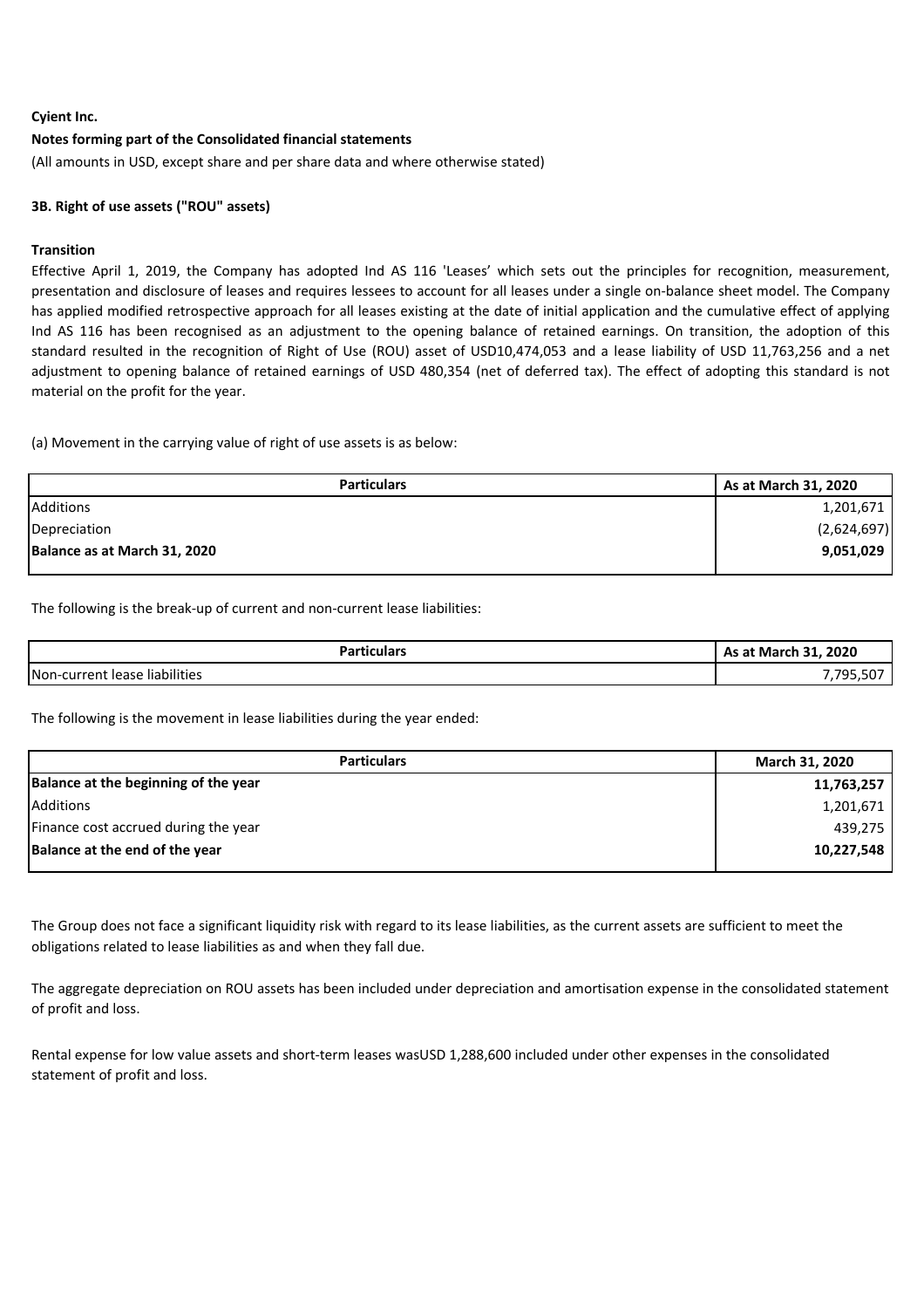#### **Notes forming part of the Consolidated financial statements**

(All amounts in USD, except share and per share data and where otherwise stated)

#### **3B. Right of use assets ("ROU" assets)**

#### **Transition**

Effective April 1, 2019, the Company has adopted Ind AS 116 'Leases' which sets out the principles for recognition, measurement, presentation and disclosure of leases and requires lessees to account for all leases under a single on-balance sheet model. The Company has applied modified retrospective approach for all leases existing at the date of initial application and the cumulative effect of applying Ind AS 116 has been recognised as an adjustment to the opening balance of retained earnings. On transition, the adoption of this standard resulted in the recognition of Right of Use (ROU) asset of USD10,474,053 and a lease liability of USD 11,763,256 and a net adjustment to opening balance of retained earnings of USD 480,354 (net of deferred tax). The effect of adopting this standard is not material on the profit for the year.

(a) Movement in the carrying value of right of use assets is as below:

| <b>Particulars</b>           | As at March 31, 2020 |
|------------------------------|----------------------|
| <b>Additions</b>             | 1,201,671            |
| Depreciation                 | (2,624,697)          |
| Balance as at March 31, 2020 | 9,051,029            |
|                              |                      |

The following is the break-up of current and non-current lease liabilities:

| <b>Particulars</b>            | 31, 2020<br>- 91<br>As at March |  |
|-------------------------------|---------------------------------|--|
| Non-current lease liabilities | $-2-$<br>- 795<br>,795,50       |  |

The following is the movement in lease liabilities during the year ended:

| <b>Particulars</b>                   | <b>March 31, 2020</b> |
|--------------------------------------|-----------------------|
| Balance at the beginning of the year | 11,763,257            |
| Additions                            | 1,201,671             |
| Finance cost accrued during the year | 439,275               |
| Balance at the end of the year       | 10,227,548            |

The Group does not face a significant liquidity risk with regard to its lease liabilities, as the current assets are sufficient to meet the obligations related to lease liabilities as and when they fall due.

The aggregate depreciation on ROU assets has been included under depreciation and amortisation expense in the consolidated statement of profit and loss.

Rental expense for low value assets and short-term leases wasUSD 1,288,600 included under other expenses in the consolidated statement of profit and loss.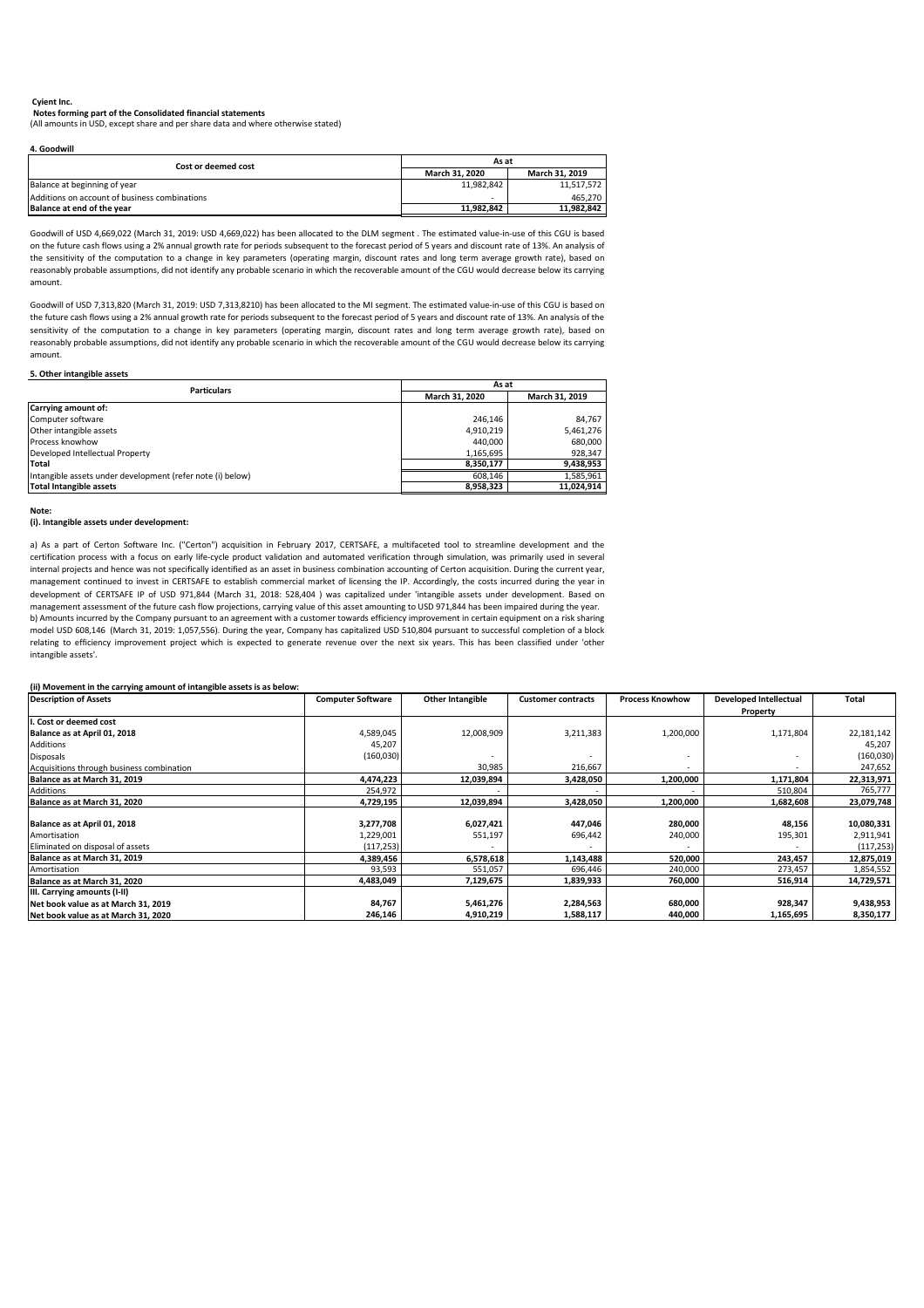(All amounts in USD, except share and per share data and where otherwise stated)

**4. Goodwill**

#### **5. Other intangible assets**

**Note:**

#### **(i). Intangible assets under development:**

#### **(ii) Movement in the carrying amount of intangible assets is as below:**

| Cost or deemed cost                           | As at                 |                       |  |  |
|-----------------------------------------------|-----------------------|-----------------------|--|--|
|                                               | <b>March 31, 2020</b> | <b>March 31, 2019</b> |  |  |
| Balance at beginning of year                  | 11,982,842            | 11,517,572            |  |  |
| Additions on account of business combinations |                       | 465,270               |  |  |
| Balance at end of the year                    | 11,982,842            | 11,982,842            |  |  |

| <b>Description of Assets</b>              | <b>Computer Software</b> | <b>Other Intangible</b> | <b>Customer contracts</b> | <b>Process Knowhow</b> | <b>Developed Intellectual</b> | <b>Total</b> |
|-------------------------------------------|--------------------------|-------------------------|---------------------------|------------------------|-------------------------------|--------------|
|                                           |                          |                         |                           |                        | <b>Property</b>               |              |
| II. Cost or deemed cost                   |                          |                         |                           |                        |                               |              |
| Balance as at April 01, 2018              | 4,589,045                | 12,008,909              | 3,211,383                 | 1,200,000              | 1,171,804                     | 22,181,142   |
| Additions                                 | 45,207                   |                         |                           |                        |                               | 45,207       |
| Disposals                                 | (160, 030)               |                         |                           |                        |                               | (160, 030)   |
| Acquisitions through business combination |                          | 30,985                  | 216,667                   |                        |                               | 247,652      |
| Balance as at March 31, 2019              | 4,474,223                | 12,039,894              | 3,428,050                 | 1,200,000              | 1,171,804                     | 22,313,971   |
| Additions                                 | 254,972                  |                         |                           |                        | 510,804                       | 765,777      |
| Balance as at March 31, 2020              | 4,729,195                | 12,039,894              | 3,428,050                 | 1,200,000              | 1,682,608                     | 23,079,748   |
|                                           |                          |                         |                           |                        |                               |              |
| Balance as at April 01, 2018              | 3,277,708                | 6,027,421               | 447,046                   | 280,000                | 48,156                        | 10,080,331   |
| Amortisation                              | 1,229,001                | 551,197                 | 696,442                   | 240,000                | 195,301                       | 2,911,941    |
| Eliminated on disposal of assets          | (117, 253)               |                         |                           |                        |                               | (117, 253)   |
| Balance as at March 31, 2019              | 4,389,456                | 6,578,618               | 1,143,488                 | 520,000                | 243,457                       | 12,875,019   |
| Amortisation                              | 93,593                   | 551,057                 | 696,446                   | 240,000                | 273,457                       | 1,854,552    |
| Balance as at March 31, 2020              | 4,483,049                | 7,129,675               | 1,839,933                 | 760,000                | 516,914                       | 14,729,571   |
| <b>III. Carrying amounts (I-II)</b>       |                          |                         |                           |                        |                               |              |
| Net book value as at March 31, 2019       | 84,767                   | 5,461,276               | 2,284,563                 | 680,000                | 928,347                       | 9,438,953    |
| Net book value as at March 31, 2020       | 246,146                  | 4,910,219               | 1,588,117                 | 440,000                | 1,165,695                     | 8,350,177    |

| <b>Particulars</b>                                         | As at                 |                       |  |  |
|------------------------------------------------------------|-----------------------|-----------------------|--|--|
|                                                            | <b>March 31, 2020</b> | <b>March 31, 2019</b> |  |  |
| Carrying amount of:                                        |                       |                       |  |  |
| Computer software                                          | 246,146               | 84,767                |  |  |
| Other intangible assets                                    | 4,910,219             | 5,461,276             |  |  |
| <b>I</b> Process knowhow                                   | 440,000               | 680,000               |  |  |
| Developed Intellectual Property                            | 1,165,695             | 928,347               |  |  |
| <b>Total</b>                                               | 8,350,177             | 9,438,953             |  |  |
| Intangible assets under development (refer note (i) below) | 608.146               | 1,585,961             |  |  |
| Total Intangible assets                                    | 8,958,323             | 11,024,914            |  |  |

#### **Cyient Inc.**

Goodwill of USD 7,313,820 (March 31, 2019: USD 7,313,8210) has been allocated to the MI segment. The estimated value-in-use of this CGU is based on the future cash flows using a 2% annual growth rate for periods subsequent to the forecast period of 5 years and discount rate of 13%. An analysis of the sensitivity of the computation to a change in key parameters (operating margin, discount rates and long term average growth rate), based on reasonably probable assumptions, did not identify any probable scenario in which the recoverable amount of the CGU would decrease below its carrying amount.

b) Amounts incurred by the Company pursuant to an agreement with a customer towards efficiency improvement in certain equipment on a risk sharing model USD 608,146 (March 31, 2019: 1,057,556). During the year, Company has capitalized USD 510,804 pursuant to successful completion of a block relating to efficiency improvement project which is expected to generate revenue over the next six years. This has been classified under 'other intangible assets'. a) As a part of Certon Software Inc. ("Certon") acquisition in February 2017, CERTSAFE, a multifaceted tool to streamline development and the certification process with a focus on early life-cycle product validation and automated verification through simulation, was primarily used in several internal projects and hence was not specifically identified as an asset in business combination accounting of Certon acquisition. During the current year, management continued to invest in CERTSAFE to establish commercial market of licensing the IP. Accordingly, the costs incurred during the year in development of CERTSAFE IP of USD 971,844 (March 31, 2018: 528,404 ) was capitalized under 'intangible assets under development. Based on management assessment of the future cash flow projections, carrying value of this asset amounting to USD 971,844 has been impaired during the year.

Goodwill of USD 4,669,022 (March 31, 2019: USD 4,669,022) has been allocated to the DLM segment . The estimated value-in-use of this CGU is based on the future cash flows using a 2% annual growth rate for periods subsequent to the forecast period of 5 years and discount rate of 13%. An analysis of the sensitivity of the computation to a change in key parameters (operating margin, discount rates and long term average growth rate), based on reasonably probable assumptions, did not identify any probable scenario in which the recoverable amount of the CGU would decrease below its carrying amount.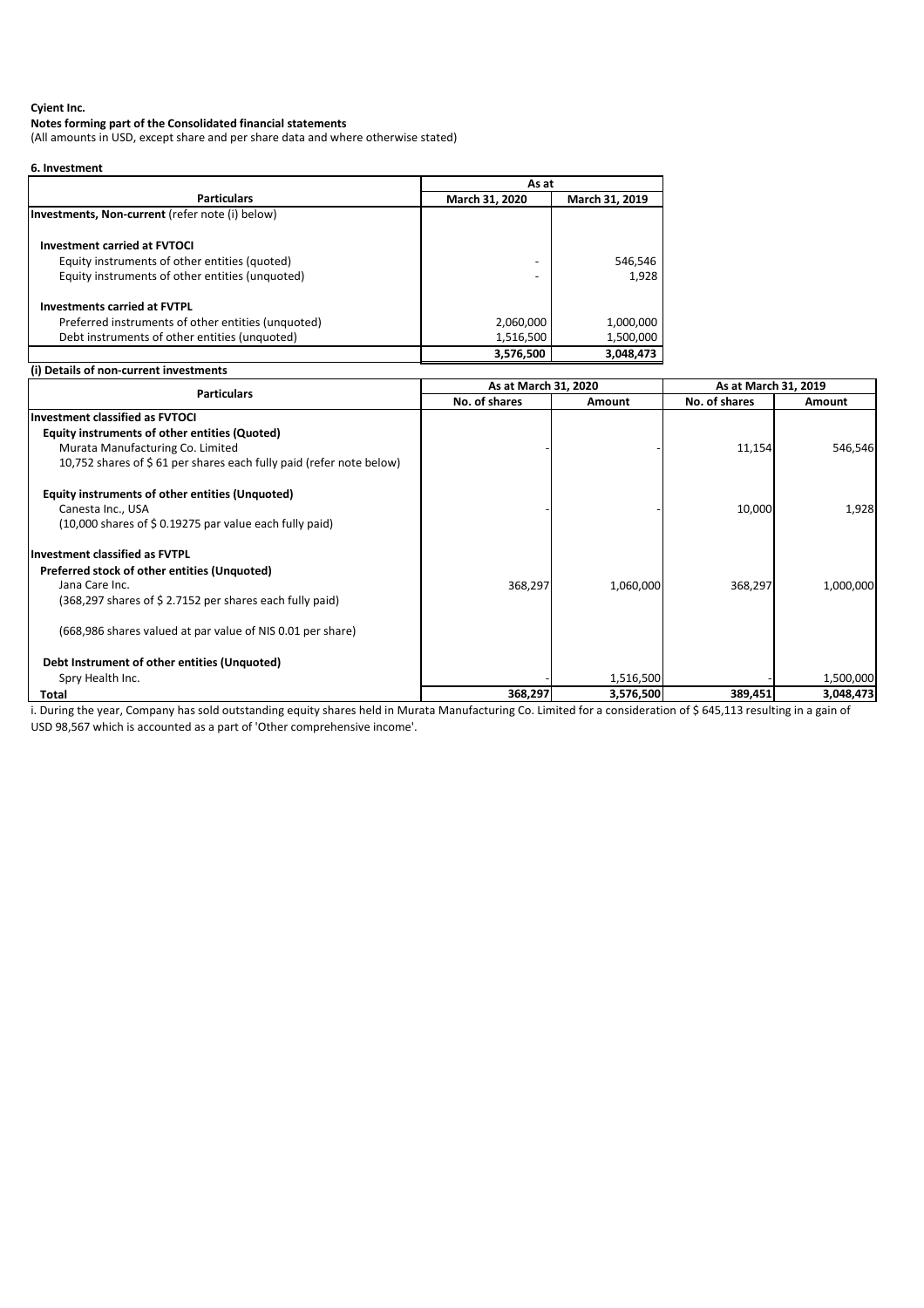#### **Notes forming part of the Consolidated financial statements**

(All amounts in USD, except share and per share data and where otherwise stated)

| 6. Investment |  |
|---------------|--|
|---------------|--|

|                                                    |                | As at          |  |  |
|----------------------------------------------------|----------------|----------------|--|--|
| <b>Particulars</b>                                 | March 31, 2020 | March 31, 2019 |  |  |
| Investments, Non-current (refer note (i) below)    |                |                |  |  |
| <b>Investment carried at FVTOCI</b>                |                |                |  |  |
| Equity instruments of other entities (quoted)      |                | 546,546        |  |  |
| Equity instruments of other entities (unquoted)    |                | 1,928          |  |  |
| <b>Investments carried at FVTPL</b>                |                |                |  |  |
| Preferred instruments of other entities (unquoted) | 2,060,000      | 1,000,000      |  |  |
| Debt instruments of other entities (unquoted)      | 1,516,500      | 1,500,000      |  |  |
|                                                    | 3,576,500      | 3,048,473      |  |  |

### **(i) Details of non-current investments**

| <b>Particulars</b>                                                  | As at March 31, 2020 |           | As at March 31, 2019 |               |
|---------------------------------------------------------------------|----------------------|-----------|----------------------|---------------|
|                                                                     | No. of shares        | Amount    | No. of shares        | <b>Amount</b> |
| Investment classified as FVTOCI                                     |                      |           |                      |               |
| Equity instruments of other entities (Quoted)                       |                      |           |                      |               |
| Murata Manufacturing Co. Limited                                    |                      |           | 11,154               | 546,546       |
| 10,752 shares of \$61 per shares each fully paid (refer note below) |                      |           |                      |               |
| Equity instruments of other entities (Unquoted)                     |                      |           |                      |               |
| Canesta Inc., USA                                                   |                      |           | 10,000               | 1,928         |
| $(10,000$ shares of \$0.19275 par value each fully paid)            |                      |           |                      |               |
| <b>Investment classified as FVTPL</b>                               |                      |           |                      |               |
| Preferred stock of other entities (Unquoted)                        |                      |           |                      |               |
| Jana Care Inc.                                                      | 368,297              | 1,060,000 | 368,297              | 1,000,000     |
| (368,297 shares of \$2.7152 per shares each fully paid)             |                      |           |                      |               |
| (668,986 shares valued at par value of NIS 0.01 per share)          |                      |           |                      |               |
| Debt Instrument of other entities (Unquoted)                        |                      |           |                      |               |
| Spry Health Inc.                                                    |                      | 1,516,500 |                      | 1,500,000     |
| Total                                                               | 368,297              | 3,576,500 | 389,451              | 3,048,473     |

i. During the year, Company has sold outstanding equity shares held in Murata Manufacturing Co. Limited for a consideration of \$ 645,113 resulting in a gain of USD 98,567 which is accounted as a part of 'Other comprehensive income'.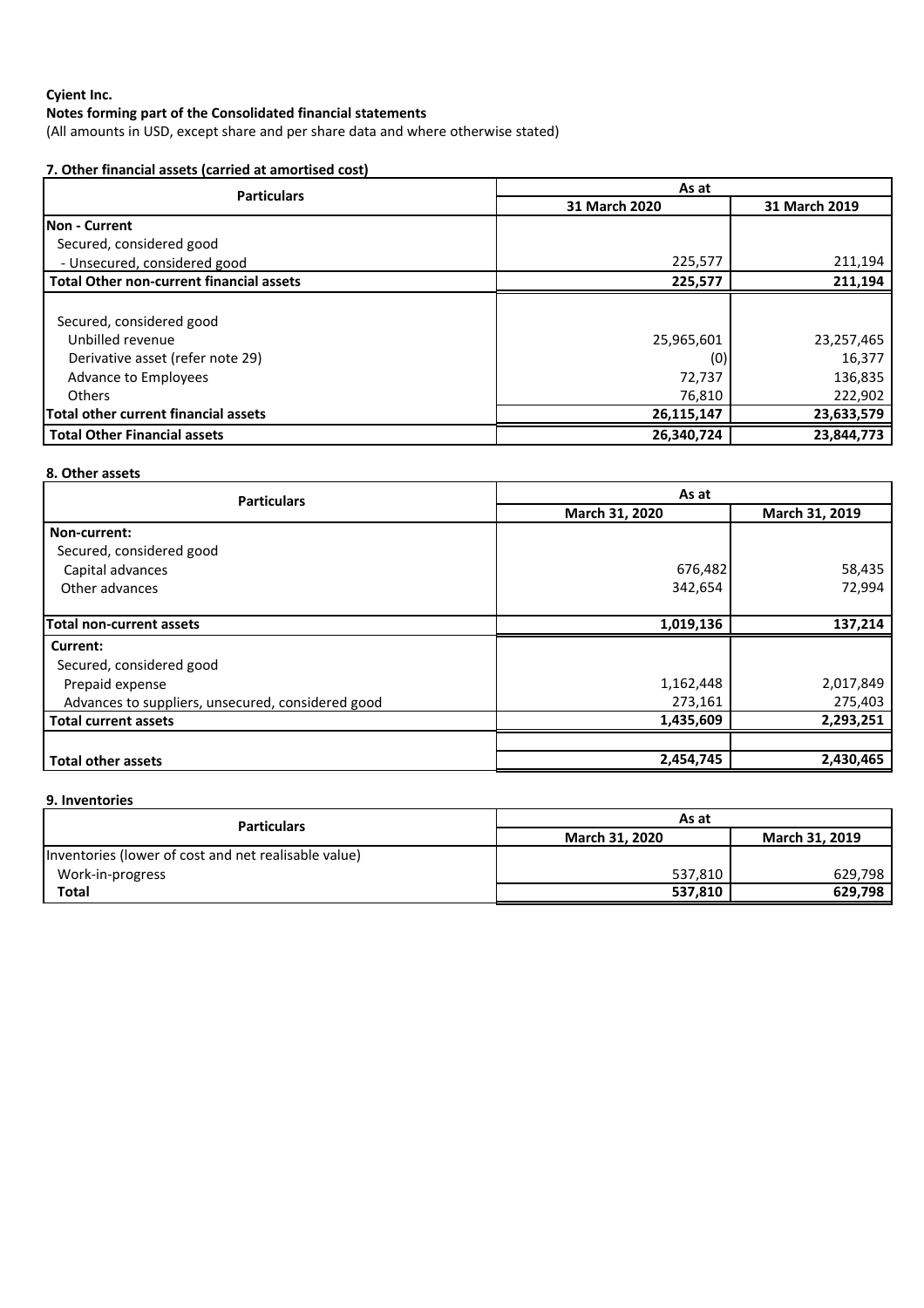(All amounts in USD, except share and per share data and where otherwise stated)

# **7. Other financial assets (carried at amortised cost)**

| <b>Particulars</b>                              | As at         |               |  |
|-------------------------------------------------|---------------|---------------|--|
|                                                 | 31 March 2020 | 31 March 2019 |  |
| <b>INon - Current</b>                           |               |               |  |
| Secured, considered good                        |               |               |  |
| - Unsecured, considered good                    | 225,577       | 211,194       |  |
| <b>Total Other non-current financial assets</b> | 225,577       | 211,194       |  |
|                                                 |               |               |  |
| Secured, considered good                        |               |               |  |
| Unbilled revenue                                | 25,965,601    | 23,257,465    |  |
| Derivative asset (refer note 29)                | (0)           | 16,377        |  |
| Advance to Employees                            | 72,737        | 136,835       |  |
| <b>Others</b>                                   | 76,810        | 222,902       |  |
| Total other current financial assets            | 26,115,147    | 23,633,579    |  |
| <b>Total Other Financial assets</b>             | 26,340,724    | 23,844,773    |  |

# **8. Other assets**

| <b>Particulars</b>                                | As at          |                |  |
|---------------------------------------------------|----------------|----------------|--|
|                                                   | March 31, 2020 | March 31, 2019 |  |
| Non-current:                                      |                |                |  |
| Secured, considered good                          |                |                |  |
| Capital advances                                  | 676,482        | 58,435         |  |
| Other advances                                    | 342,654        | 72,994         |  |
|                                                   |                |                |  |
| <b>Total non-current assets</b>                   | 1,019,136      | 137,214        |  |
| Current:                                          |                |                |  |
| Secured, considered good                          |                |                |  |
| Prepaid expense                                   | 1,162,448      | 2,017,849      |  |
| Advances to suppliers, unsecured, considered good | 273,161        | 275,403        |  |
| <b>Total current assets</b>                       | 1,435,609      | 2,293,251      |  |
|                                                   |                |                |  |
| <b>Total other assets</b>                         | 2,454,745      | 2,430,465      |  |

### **9. Inventories**

| <b>Particulars</b>                                   | As at                 |                       |  |
|------------------------------------------------------|-----------------------|-----------------------|--|
|                                                      | <b>March 31, 2020</b> | <b>March 31, 2019</b> |  |
| Inventories (lower of cost and net realisable value) |                       |                       |  |
| Work-in-progress                                     | 537,810               | 629.798               |  |
| <b>Total</b>                                         | 537,810               | 629.798               |  |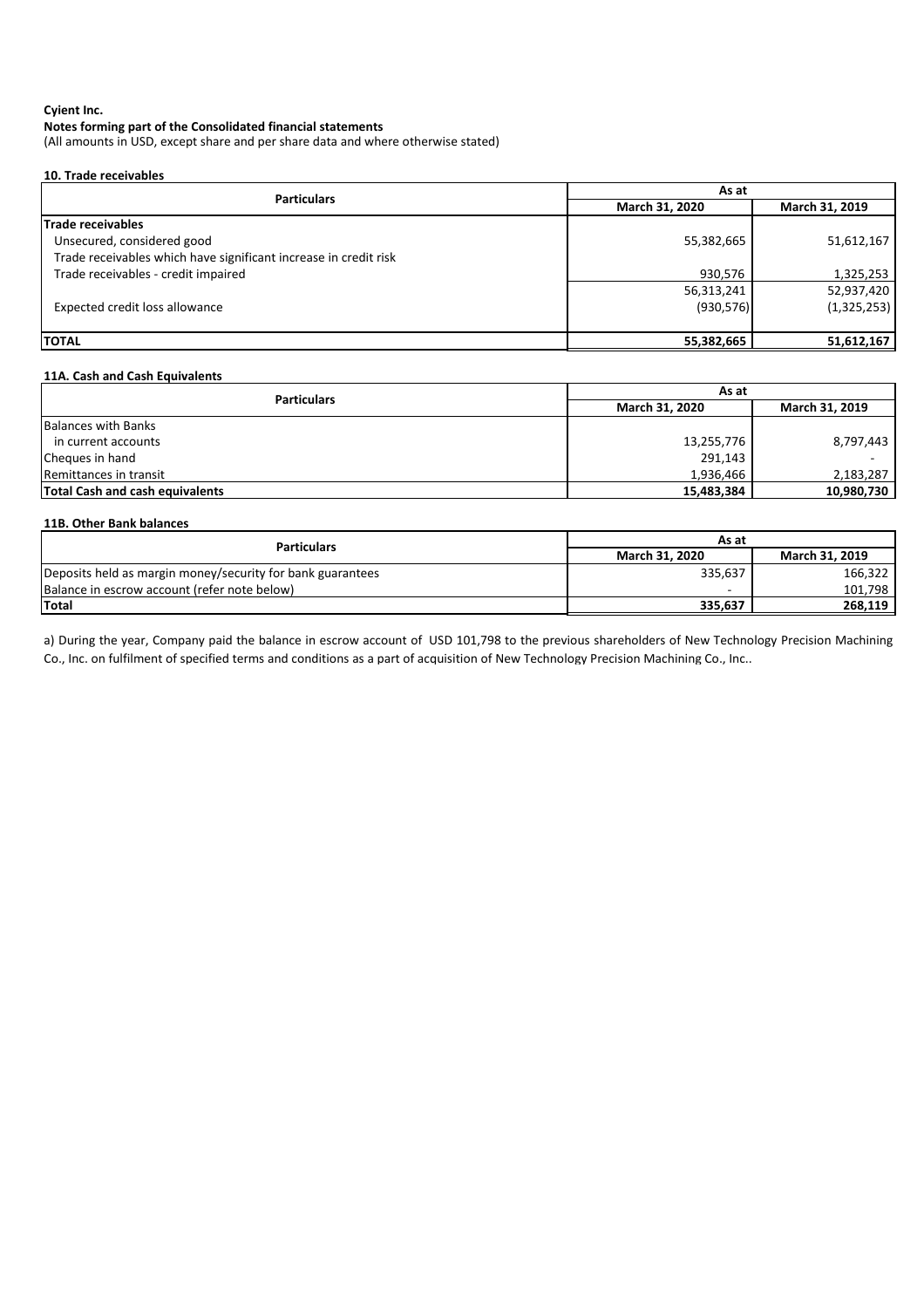### **Notes forming part of the Consolidated financial statements**

(All amounts in USD, except share and per share data and where otherwise stated)

### **10. Trade receivables**

| As at          |                |  |
|----------------|----------------|--|
| March 31, 2020 | March 31, 2019 |  |
|                |                |  |
| 55,382,665     | 51,612,167     |  |
|                |                |  |
| 930,576        | 1,325,253      |  |
| 56,313,241     | 52,937,420     |  |
| (930, 576)     | (1,325,253)    |  |
|                |                |  |
| 55,382,665     | 51,612,167     |  |
|                |                |  |

### **11A. Cash and Cash Equivalents**

| <b>Particulars</b>                     | As at          |                |  |
|----------------------------------------|----------------|----------------|--|
|                                        | March 31, 2020 | March 31, 2019 |  |
| <b>Balances with Banks</b>             |                |                |  |
| in current accounts                    | 13,255,776     | 8,797,443      |  |
| Cheques in hand                        | 291,143        |                |  |
| Remittances in transit                 | 1,936,466      | 2,183,287      |  |
| <b>Total Cash and cash equivalents</b> | 15,483,384     | 10,980,730     |  |

| 11B. Other Bank balances                                   |                       |                       |  |  |
|------------------------------------------------------------|-----------------------|-----------------------|--|--|
| <b>Particulars</b>                                         | As at                 |                       |  |  |
|                                                            | <b>March 31, 2020</b> | <b>March 31, 2019</b> |  |  |
| Deposits held as margin money/security for bank guarantees | 335,637               | 166,322               |  |  |
| Balance in escrow account (refer note below)               |                       | 101,798               |  |  |
| <b>Total</b>                                               | 335,637               | 268,119               |  |  |

a) During the year, Company paid the balance in escrow account of USD 101,798 to the previous shareholders of New Technology Precision Machining Co., Inc. on fulfilment of specified terms and conditions as a part of acquisition of New Technology Precision Machining Co., Inc..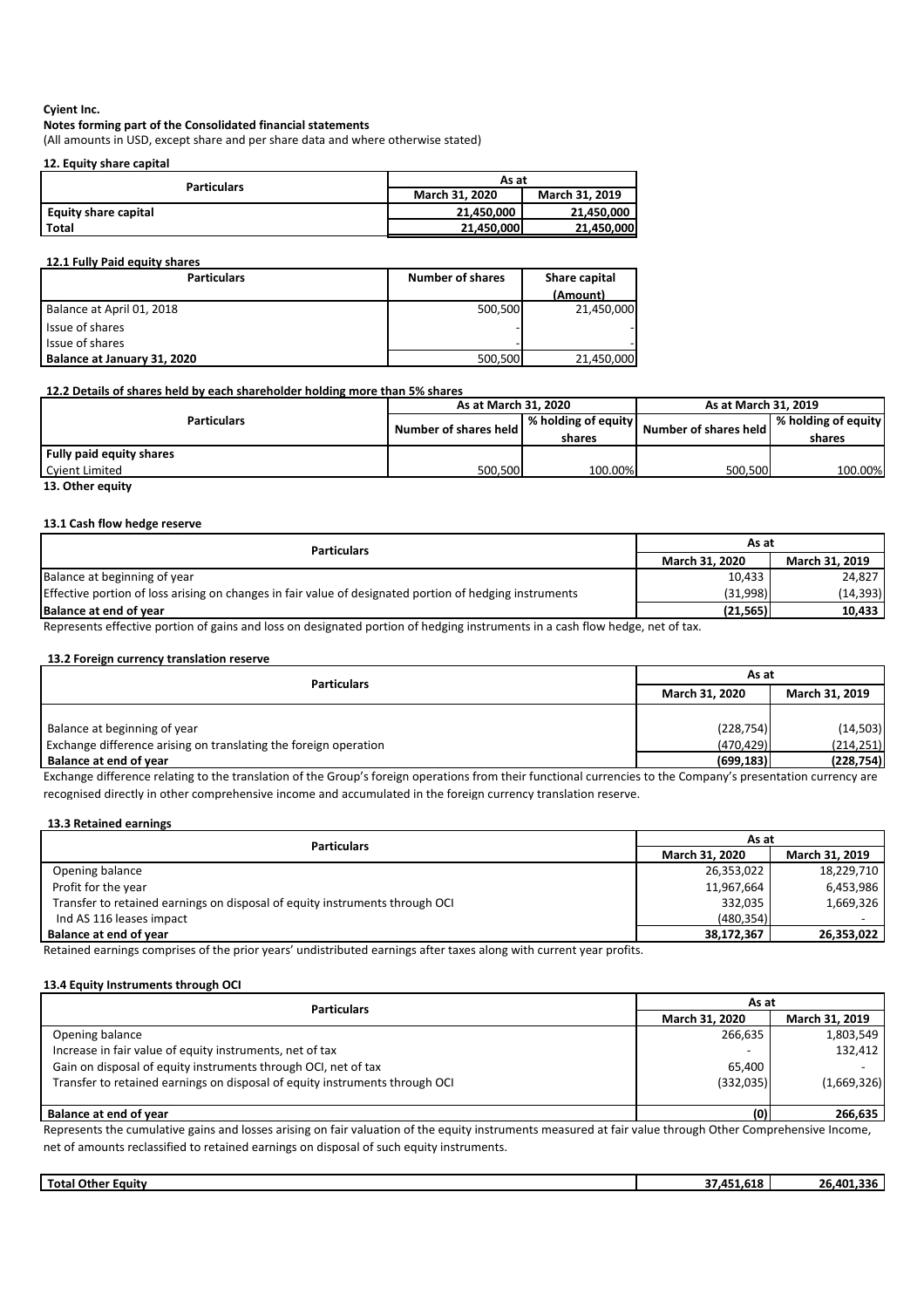### **Notes forming part of the Consolidated financial statements**

(All amounts in USD, except share and per share data and where otherwise stated)

### **12. Equity share capital**

| <b>Particulars</b>     | As at                 |                       |  |
|------------------------|-----------------------|-----------------------|--|
|                        | <b>March 31, 2020</b> | <b>March 31, 2019</b> |  |
| l Equity share capital | 21.450.000            | 21.450.000            |  |
| l Total                | 21,450,000            | 21,450,000            |  |

#### **12.1 Fully Paid equity shares**

| <b>Particulars</b>          | <b>Number of shares</b> | Share capital |
|-----------------------------|-------------------------|---------------|
|                             |                         | (Amount)      |
| Balance at April 01, 2018   | 500,500                 | 21,450,000    |
| Issue of shares             |                         |               |
| Issue of shares             |                         |               |
| Balance at January 31, 2020 | 500,500                 | 21,450,000    |

#### **12.2 Details of shares held by each shareholder holding more than 5% shares**

|                          | As at March 31, 2020  |                     | As at March 31, 2019           |                     |
|--------------------------|-----------------------|---------------------|--------------------------------|---------------------|
| <b>Particulars</b>       | Number of shares held | % holding of equity | <b>Number of shares held I</b> | % holding of equity |
|                          |                       | shares              |                                | shares              |
| Fully paid equity shares |                       |                     |                                |                     |
| Cyient Limited           | 500,500               | 100.00%             | 500,500                        | 100.00%             |

**13. Other equity**

### **13.1 Cash flow hedge reserve**

| <b>Particulars</b>                                                                                                                                                                                                                                                                                                                                                                                                                                                                                                               | As at                 |                       |  |
|----------------------------------------------------------------------------------------------------------------------------------------------------------------------------------------------------------------------------------------------------------------------------------------------------------------------------------------------------------------------------------------------------------------------------------------------------------------------------------------------------------------------------------|-----------------------|-----------------------|--|
|                                                                                                                                                                                                                                                                                                                                                                                                                                                                                                                                  | <b>March 31, 2020</b> | <b>March 31, 2019</b> |  |
| Balance at beginning of year                                                                                                                                                                                                                                                                                                                                                                                                                                                                                                     | 10,433                | 24.827                |  |
| Effective portion of loss arising on changes in fair value of designated portion of hedging instruments                                                                                                                                                                                                                                                                                                                                                                                                                          | (31,998)              | (14, 393)             |  |
| Balance at end of vear                                                                                                                                                                                                                                                                                                                                                                                                                                                                                                           | (21.565)              | 10,433                |  |
| .<br>$\mathcal{L} = \{ \mathcal{L}^{\mathcal{L}} \mathcal{L}^{\mathcal{L}} \mathcal{L}^{\mathcal{L}} \mathcal{L}^{\mathcal{L}} \mathcal{L}^{\mathcal{L}} \mathcal{L}^{\mathcal{L}} \mathcal{L}^{\mathcal{L}} \mathcal{L}^{\mathcal{L}} \mathcal{L}^{\mathcal{L}} \mathcal{L}^{\mathcal{L}} \mathcal{L}^{\mathcal{L}} \mathcal{L}^{\mathcal{L}} \mathcal{L}^{\mathcal{L}} \mathcal{L}^{\mathcal{L}} \mathcal{L}^{\mathcal{L}} \mathcal{L}^{\mathcal{L}} \mathcal$<br>$\sim$ $\sim$ $\sim$ $\sim$ $\sim$ $\sim$ $\sim$ $\sim$<br>. |                       |                       |  |

Represents effective portion of gains and loss on designated portion of hedging instruments in a cash flow hedge, net of tax.

### **13.2 Foreign currency translation reserve**

| <b>Particulars</b>                                               | As at                                          |            |  |
|------------------------------------------------------------------|------------------------------------------------|------------|--|
|                                                                  | <b>March 31, 2019</b><br><b>March 31, 2020</b> |            |  |
|                                                                  |                                                |            |  |
| Balance at beginning of year                                     | (228, 754)                                     | (14, 503)  |  |
| Exchange difference arising on translating the foreign operation | (470, 429)                                     | (214, 251) |  |
| <b>Balance at end of year</b>                                    | (699, 183)                                     | (228, 754) |  |

Exchange difference relating to the translation of the Group's foreign operations from their functional currencies to the Company's presentation currency are recognised directly in other comprehensive income and accumulated in the foreign currency translation reserve.

#### **13.3 Retained earnings**

| As at          |                |  |
|----------------|----------------|--|
| March 31, 2020 | March 31, 2019 |  |
| 26,353,022     | 18,229,710     |  |
| 11,967,664     | 6,453,986      |  |
| 332,035        | 1,669,326      |  |
| (480, 354)     |                |  |
| 38,172,367     | 26,353,022     |  |
|                |                |  |

Retained earnings comprises of the prior years' undistributed earnings after taxes along with current year profits.

#### **13.4 Equity Instruments through OCI**

| <b>Particulars</b>                                                          | As at                    |                          |  |
|-----------------------------------------------------------------------------|--------------------------|--------------------------|--|
|                                                                             | <b>March 31, 2020</b>    | March 31, 2019           |  |
| Opening balance                                                             | 266,635                  | 1,803,549                |  |
| Increase in fair value of equity instruments, net of tax                    | $\overline{\phantom{0}}$ | 132,412                  |  |
| Gain on disposal of equity instruments through OCI, net of tax              | 65,400                   | $\overline{\phantom{a}}$ |  |
| Transfer to retained earnings on disposal of equity instruments through OCI | (332,035)                | (1,669,326)              |  |
|                                                                             |                          |                          |  |
| Balance at end of year                                                      | (0)                      | 266,635                  |  |

Represents the cumulative gains and losses arising on fair valuation of the equity instruments measured at fair value through Other Comprehensive Income, net of amounts reclassified to retained earnings on disposal of such equity instruments.

| Total<br>Other<br>Eauitv | $- - -$<br>,,,,<br>1.U | 336<br>101.<br>~~<br>. . |
|--------------------------|------------------------|--------------------------|
|                          |                        |                          |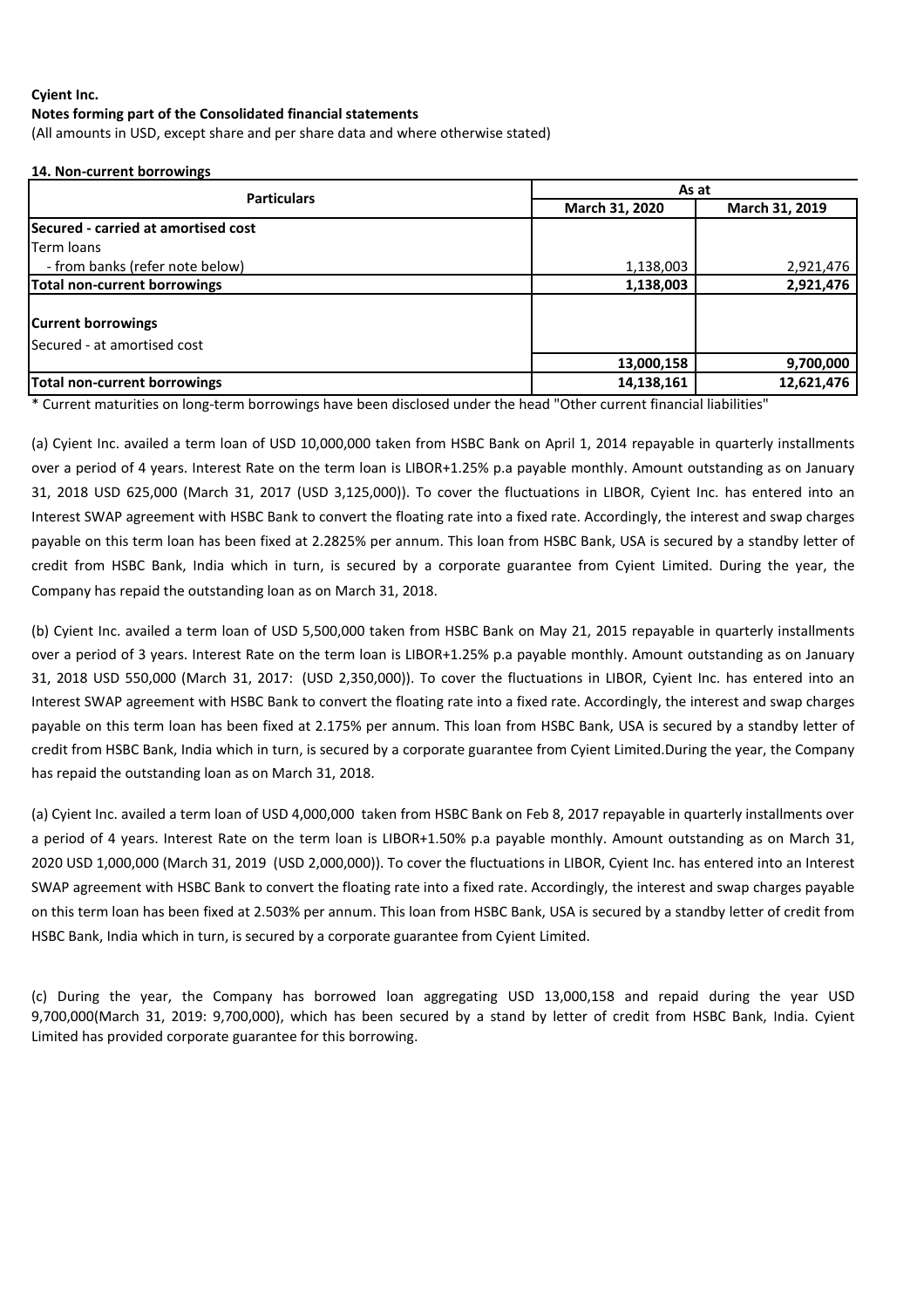(All amounts in USD, except share and per share data and where otherwise stated)

### **14. Non-current borrowings**

| <b>Particulars</b>                  | As at          |                |  |  |
|-------------------------------------|----------------|----------------|--|--|
|                                     | March 31, 2020 | March 31, 2019 |  |  |
| Secured - carried at amortised cost |                |                |  |  |
| Term loans                          |                |                |  |  |
| - from banks (refer note below)     | 1,138,003      | 2,921,476      |  |  |
| Total non-current borrowings        | 1,138,003      | 2,921,476      |  |  |
| <b>Current borrowings</b>           |                |                |  |  |
| Secured - at amortised cost         |                |                |  |  |
|                                     | 13,000,158     | 9,700,000      |  |  |
| Total non-current borrowings        | 14,138,161     | 12,621,476     |  |  |

\* Current maturities on long-term borrowings have been disclosed under the head "Other current financial liabilities"

(a) Cyient Inc. availed a term loan of USD 10,000,000 taken from HSBC Bank on April 1, 2014 repayable in quarterly installments over a period of 4 years. Interest Rate on the term loan is LIBOR+1.25% p.a payable monthly. Amount outstanding as on January 31, 2018 USD 625,000 (March 31, 2017 (USD 3,125,000)). To cover the fluctuations in LIBOR, Cyient Inc. has entered into an Interest SWAP agreement with HSBC Bank to convert the floating rate into a fixed rate. Accordingly, the interest and swap charges payable on this term loan has been fixed at 2.2825% per annum. This loan from HSBC Bank, USA is secured by a standby letter of credit from HSBC Bank, India which in turn, is secured by a corporate guarantee from Cyient Limited. During the year, the Company has repaid the outstanding loan as on March 31, 2018.

(b) Cyient Inc. availed a term loan of USD 5,500,000 taken from HSBC Bank on May 21, 2015 repayable in quarterly installments over a period of 3 years. Interest Rate on the term loan is LIBOR+1.25% p.a payable monthly. Amount outstanding as on January 31, 2018 USD 550,000 (March 31, 2017: (USD 2,350,000)). To cover the fluctuations in LIBOR, Cyient Inc. has entered into an Interest SWAP agreement with HSBC Bank to convert the floating rate into a fixed rate. Accordingly, the interest and swap charges payable on this term loan has been fixed at 2.175% per annum. This loan from HSBC Bank, USA is secured by a standby letter of credit from HSBC Bank, India which in turn, is secured by a corporate guarantee from Cyient Limited.During the year, the Company has repaid the outstanding loan as on March 31, 2018.

(a) Cyient Inc. availed a term loan of USD 4,000,000 taken from HSBC Bank on Feb 8, 2017 repayable in quarterly installments over a period of 4 years. Interest Rate on the term loan is LIBOR+1.50% p.a payable monthly. Amount outstanding as on March 31, 2020 USD 1,000,000 (March 31, 2019 (USD 2,000,000)). To cover the fluctuations in LIBOR, Cyient Inc. has entered into an Interest SWAP agreement with HSBC Bank to convert the floating rate into a fixed rate. Accordingly, the interest and swap charges payable on this term loan has been fixed at 2.503% per annum. This loan from HSBC Bank, USA is secured by a standby letter of credit from HSBC Bank, India which in turn, is secured by a corporate guarantee from Cyient Limited.

(c) During the year, the Company has borrowed loan aggregating USD 13,000,158 and repaid during the year USD 9,700,000(March 31, 2019: 9,700,000), which has been secured by a stand by letter of credit from HSBC Bank, India. Cyient Limited has provided corporate guarantee for this borrowing.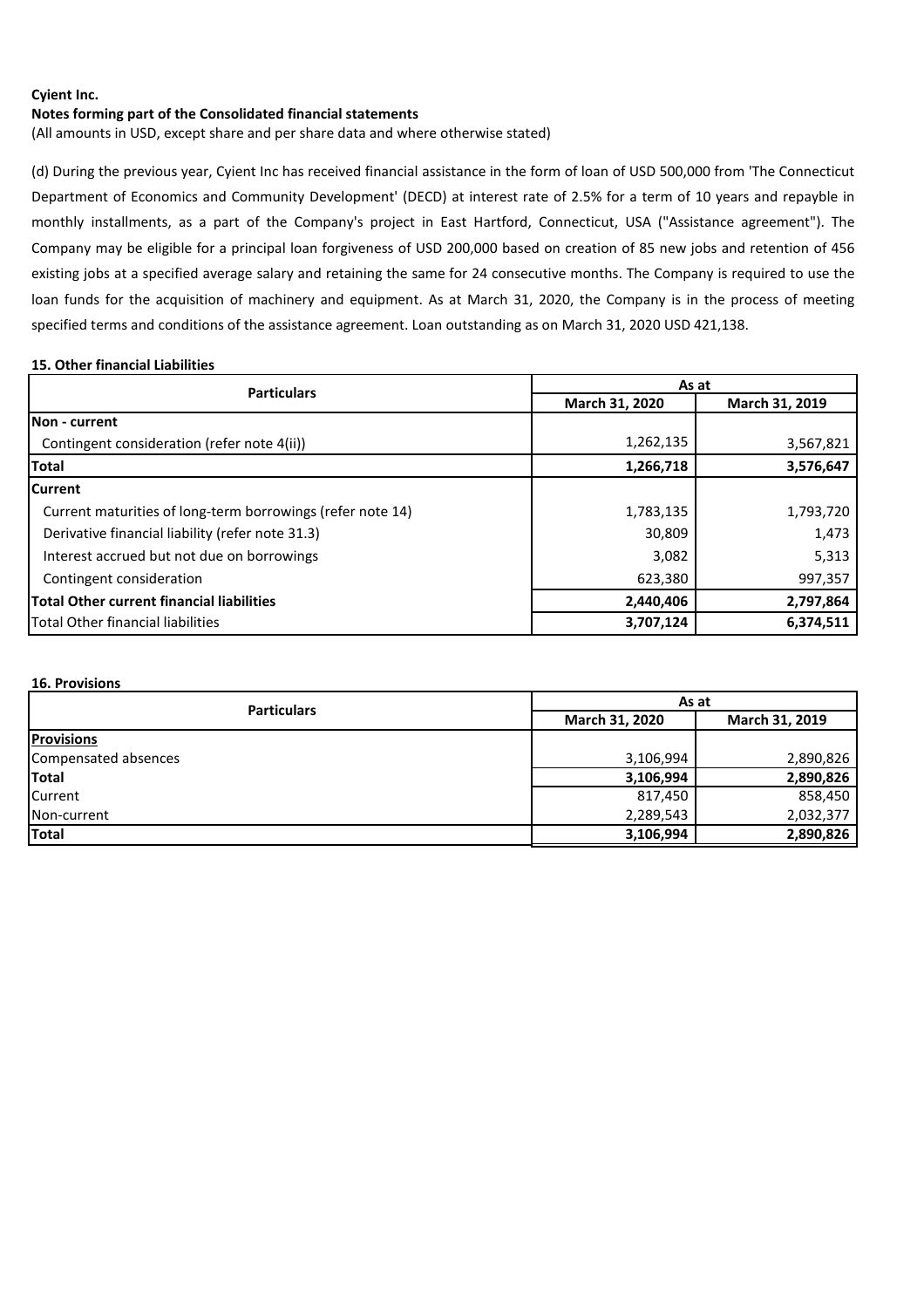#### **Notes forming part of the Consolidated financial statements**

(All amounts in USD, except share and per share data and where otherwise stated)

(d) During the previous year, Cyient Inc has received financial assistance in the form of loan of USD 500,000 from 'The Connecticut Department of Economics and Community Development' (DECD) at interest rate of 2.5% for a term of 10 years and repayble in monthly installments, as a part of the Company's project in East Hartford, Connecticut, USA ("Assistance agreement"). The Company may be eligible for a principal loan forgiveness of USD 200,000 based on creation of 85 new jobs and retention of 456 existing jobs at a specified average salary and retaining the same for 24 consecutive months. The Company is required to use the loan funds for the acquisition of machinery and equipment. As at March 31, 2020, the Company is in the process of meeting specified terms and conditions of the assistance agreement. Loan outstanding as on March 31, 2020 USD 421,138.

#### **15. Other financial Liabilities**

| <b>Particulars</b>                                         |                | As at          |  |  |  |
|------------------------------------------------------------|----------------|----------------|--|--|--|
|                                                            | March 31, 2020 | March 31, 2019 |  |  |  |
| INon - current                                             |                |                |  |  |  |
| Contingent consideration (refer note 4(ii))                | 1,262,135      | 3,567,821      |  |  |  |
| <b>Total</b>                                               | 1,266,718      | 3,576,647      |  |  |  |
| lCurrent                                                   |                |                |  |  |  |
| Current maturities of long-term borrowings (refer note 14) | 1,783,135      | 1,793,720      |  |  |  |
| Derivative financial liability (refer note 31.3)           | 30,809         | 1,473          |  |  |  |
| Interest accrued but not due on borrowings                 | 3,082          | 5,313          |  |  |  |
| Contingent consideration                                   | 623,380        | 997,357        |  |  |  |
| <b>Total Other current financial liabilities</b>           | 2,440,406      | 2,797,864      |  |  |  |
| <b>Total Other financial liabilities</b>                   | 3,707,124      | 6,374,511      |  |  |  |

#### **16. Provisions**

| <b>Particulars</b>   | As at          |                |  |  |
|----------------------|----------------|----------------|--|--|
|                      | March 31, 2020 | March 31, 2019 |  |  |
| <b>Provisions</b>    |                |                |  |  |
| Compensated absences | 3,106,994      | 2,890,826      |  |  |
| Total                | 3,106,994      | 2,890,826      |  |  |
| <b>Current</b>       | 817,450        | 858,450        |  |  |
| Non-current          | 2,289,543      | 2,032,377      |  |  |
| Total                | 3,106,994      | 2,890,826      |  |  |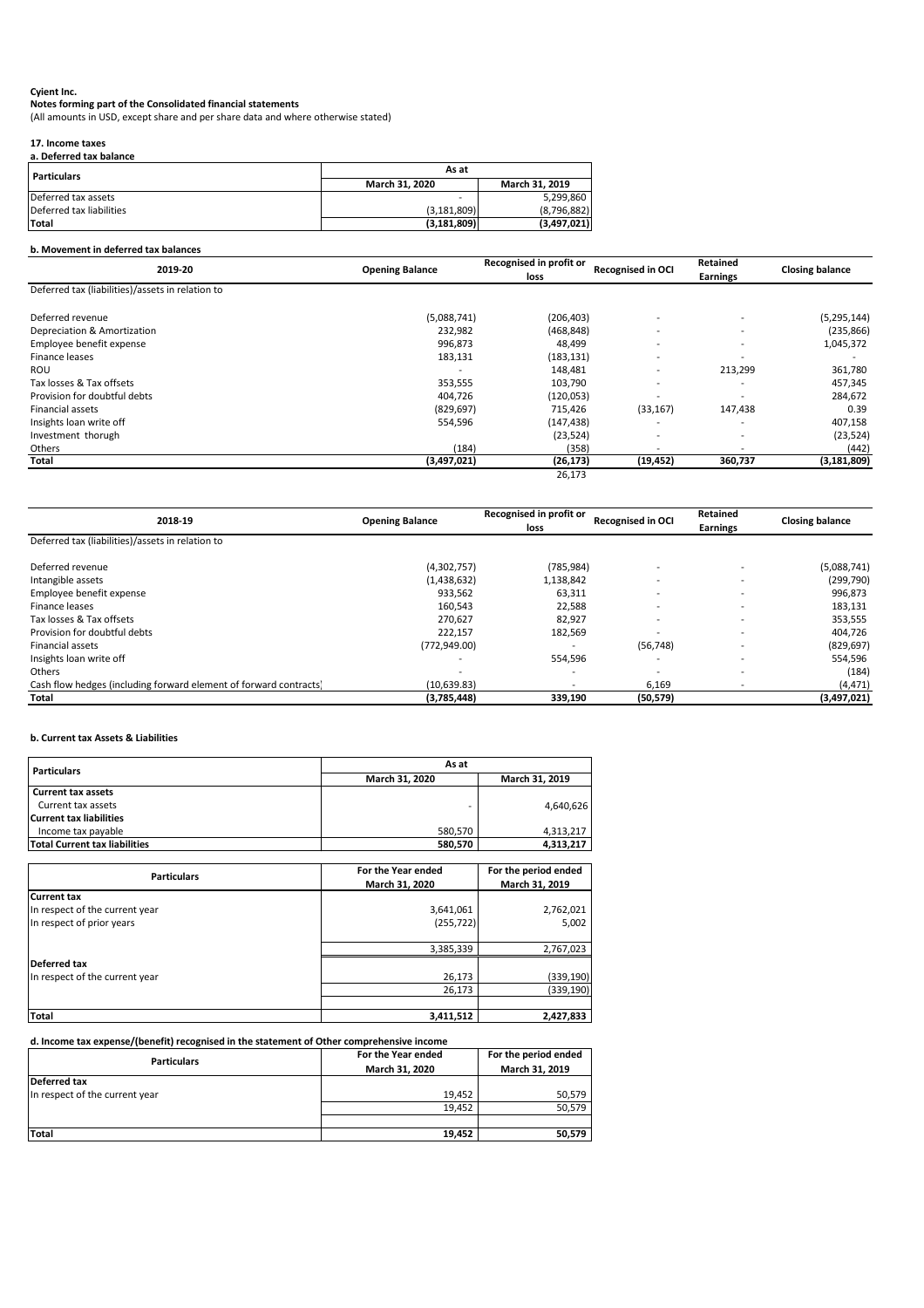# **Notes forming part of the Consolidated financial statements**

#### **17. Income taxes a. Deferred tax balance**

# **b. Movement in deferred tax balances**

| 2019-20                                          | <b>Opening Balance</b> | <b>Recognised in profit or</b><br>loss | <b>Recognised in OCI</b> | Retained<br><b>Earnings</b> | <b>Closing balance</b> |
|--------------------------------------------------|------------------------|----------------------------------------|--------------------------|-----------------------------|------------------------|
| Deferred tax (liabilities)/assets in relation to |                        |                                        |                          |                             |                        |
| Deferred revenue                                 | (5,088,741)            | (206, 403)                             |                          |                             | (5, 295, 144)          |
| Depreciation & Amortization                      | 232,982                | (468, 848)                             |                          | $\overline{\phantom{0}}$    | (235, 866)             |
| Employee benefit expense                         | 996,873                | 48,499                                 |                          | $\overline{\phantom{0}}$    | 1,045,372              |
| Finance leases                                   | 183,131                | (183, 131)                             |                          |                             |                        |
| <b>ROU</b>                                       |                        | 148,481                                |                          | 213,299                     | 361,780                |
| Tax losses & Tax offsets                         | 353,555                | 103,790                                |                          | $\overline{\phantom{0}}$    | 457,345                |
| Provision for doubtful debts                     | 404,726                | (120, 053)                             |                          |                             | 284,672                |
| Financial assets                                 | (829, 697)             | 715,426                                | (33, 167)                | 147,438                     | 0.39                   |
| Insights loan write off                          | 554,596                | (147, 438)                             |                          |                             | 407,158                |
| Investment thorugh                               |                        | (23, 524)                              |                          |                             | (23, 524)              |
| Others                                           | (184)                  | (358)                                  |                          |                             | (442)                  |
| Total                                            | (3,497,021)            | (26, 173)                              | (19, 452)                | 360,737                     | (3, 181, 809)          |
|                                                  |                        | 26,173                                 |                          |                             |                        |

| a. Deleffed tax balance  |                                         |             |  |
|--------------------------|-----------------------------------------|-------------|--|
| <b>Particulars</b>       | As at                                   |             |  |
|                          | <b>March 31, 2020</b><br>March 31, 2019 |             |  |
| Deferred tax assets      |                                         | 5,299,860   |  |
| Deferred tax liabilities | (3, 181, 809)                           | (8,796,882) |  |
| <b>Total</b>             | (3, 181, 809)                           | (3,497,021) |  |

| 2018-19                                                           | <b>Opening Balance</b> | <b>Recognised in profit or</b><br>loss | <b>Recognised in OCI</b> | Retained<br><b>Earnings</b> | <b>Closing balance</b> |
|-------------------------------------------------------------------|------------------------|----------------------------------------|--------------------------|-----------------------------|------------------------|
| Deferred tax (liabilities)/assets in relation to                  |                        |                                        |                          |                             |                        |
| Deferred revenue                                                  | (4,302,757)            | (785, 984)                             |                          |                             | (5,088,741)            |
| Intangible assets                                                 | (1,438,632)            | 1,138,842                              |                          | $\overline{\phantom{0}}$    | (299, 790)             |
| Employee benefit expense                                          | 933,562                | 63,311                                 |                          |                             | 996,873                |
| Finance leases                                                    | 160,543                | 22,588                                 |                          | $\overline{\phantom{0}}$    | 183,131                |
| Tax losses & Tax offsets                                          | 270,627                | 82,927                                 |                          |                             | 353,555                |
| Provision for doubtful debts                                      | 222,157                | 182,569                                |                          |                             | 404,726                |
| <b>Financial assets</b>                                           | (772, 949.00)          |                                        | (56, 748)                | $\overline{\phantom{0}}$    | (829, 697)             |
| Insights loan write off                                           |                        | 554,596                                |                          | $\overline{\phantom{0}}$    | 554,596                |
| Others                                                            |                        | $\overline{\phantom{a}}$               |                          | $\overline{\phantom{0}}$    | (184)                  |
| Cash flow hedges (including forward element of forward contracts) | (10,639.83)            | $\overline{\phantom{a}}$               | 6,169                    |                             | (4, 471)               |
| <b>Total</b>                                                      | (3,785,448)            | 339,190                                | (50, 579)                |                             | (3,497,021)            |

# **b. Current tax Assets & Liabilities**

| <b>Particulars</b>             | For the period ended<br>For the Year ended<br>March 31, 2019<br>March 31, 2020 |            |  |
|--------------------------------|--------------------------------------------------------------------------------|------------|--|
| <b>Current tax</b>             |                                                                                |            |  |
| In respect of the current year | 3,641,061                                                                      | 2,762,021  |  |
| In respect of prior years      | (255, 722)                                                                     | 5,002      |  |
|                                | 3,385,339                                                                      | 2,767,023  |  |
| Deferred tax                   |                                                                                |            |  |
| In respect of the current year | 26,173                                                                         | (339, 190) |  |
|                                | 26,173                                                                         | (339, 190) |  |
|                                |                                                                                |            |  |
| <b>Total</b>                   | 3,411,512                                                                      | 2,427,833  |  |

| <b>Particulars</b>                   | As at                 |                |  |
|--------------------------------------|-----------------------|----------------|--|
|                                      | <b>March 31, 2020</b> | March 31, 2019 |  |
| <b>Current tax assets</b>            |                       |                |  |
| Current tax assets                   |                       | 4,640,626      |  |
| Current tax liabilities              |                       |                |  |
| Income tax payable                   | 580,570               | 4,313,217      |  |
| <b>Total Current tax liabilities</b> | 580,570               | 4,313,217      |  |

# **d. Income tax expense/(benefit) recognised in the statement of Other comprehensive income**

| <b>Particulars</b>             | For the Year ended | For the period ended |
|--------------------------------|--------------------|----------------------|
|                                | March 31, 2020     | March 31, 2019       |
| Deferred tax                   |                    |                      |
| In respect of the current year | 19.452             | 50,579               |
|                                | 19,452             | 50,579               |
|                                |                    |                      |
| <b>Total</b>                   | 19,452             | 50,579               |

(All amounts in USD, except share and per share data and where otherwise stated)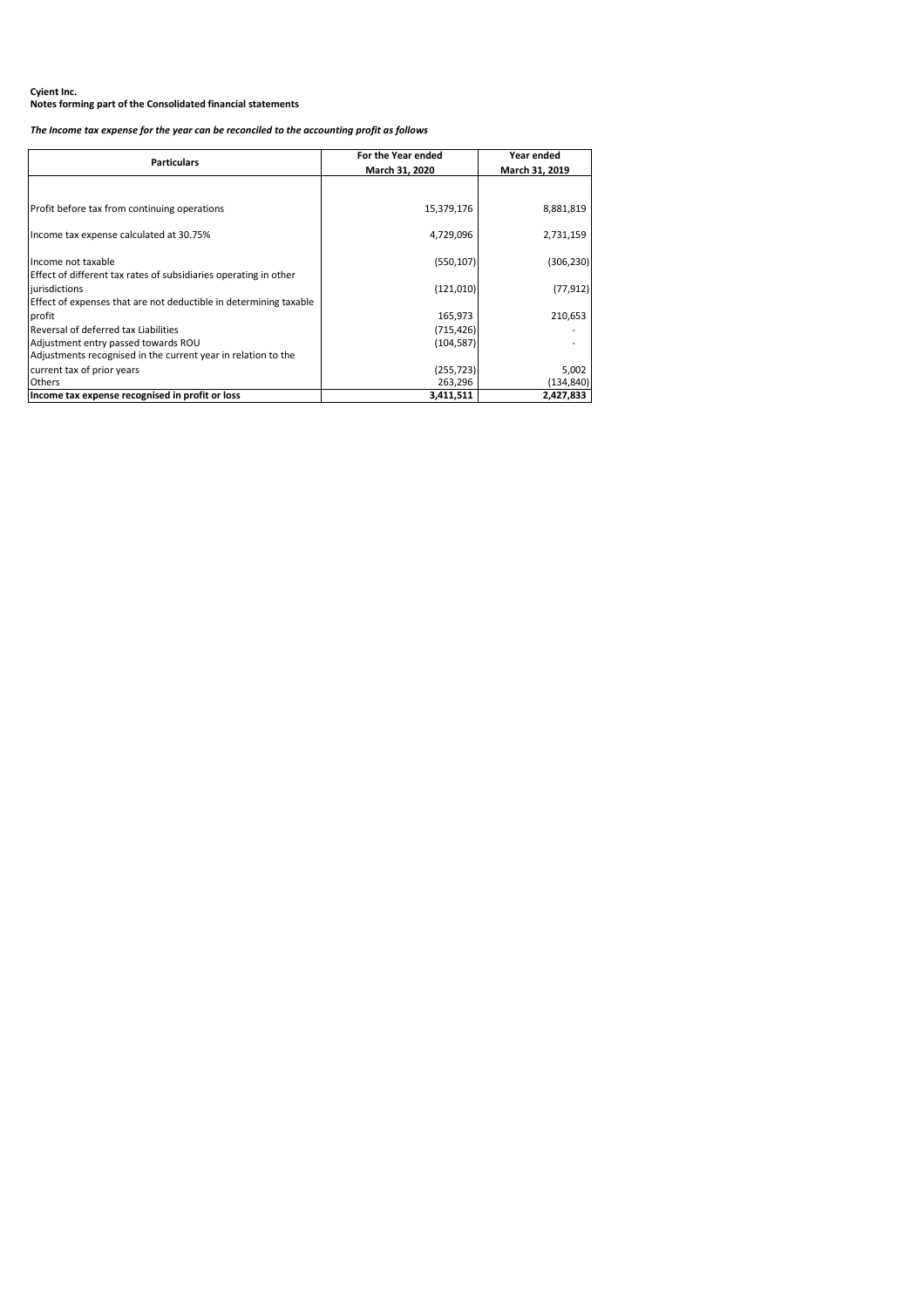# *The Income tax expense for the year can be reconciled to the accounting profit as follows*

| <b>Particulars</b>                                                                | For the Year ended<br>March 31, 2020 | Year ended<br>March 31, 2019 |
|-----------------------------------------------------------------------------------|--------------------------------------|------------------------------|
|                                                                                   |                                      |                              |
| Profit before tax from continuing operations                                      | 15,379,176                           | 8,881,819                    |
| Income tax expense calculated at 30.75%                                           | 4,729,096                            | 2,731,159                    |
| Income not taxable                                                                | (550, 107)                           | (306, 230)                   |
| Effect of different tax rates of subsidiaries operating in other<br>jurisdictions | (121, 010)                           | (77, 912)                    |
| Effect of expenses that are not deductible in determining taxable<br>profit       | 165,973                              | 210,653                      |
| Reversal of deferred tax Liabilities                                              | (715, 426)                           |                              |
| Adjustment entry passed towards ROU                                               | (104, 587)                           |                              |
| Adjustments recognised in the current year in relation to the                     |                                      |                              |
| current tax of prior years                                                        | (255, 723)                           | 5,002                        |
| <b>Others</b>                                                                     | 263,296                              | (134,840)                    |
| Income tax expense recognised in profit or loss                                   | 3,411,511                            | 2,427,833                    |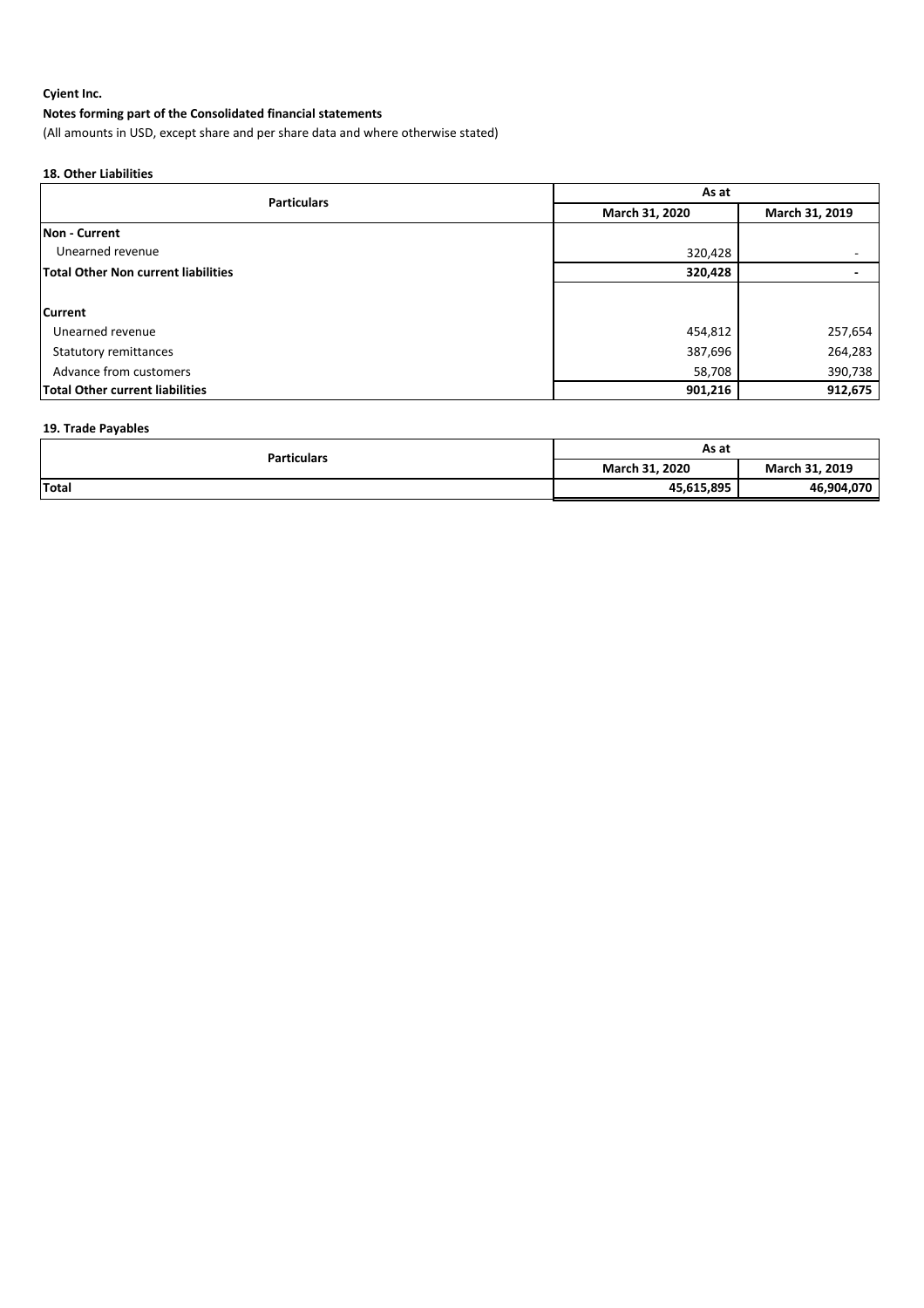# **Notes forming part of the Consolidated financial statements**

(All amounts in USD, except share and per share data and where otherwise stated)

# **18. Other Liabilities**

| <b>Particulars</b>                         | As at          |                |  |
|--------------------------------------------|----------------|----------------|--|
|                                            | March 31, 2020 | March 31, 2019 |  |
| <b>INon - Current</b>                      |                |                |  |
| Unearned revenue                           | 320,428        |                |  |
| <b>Total Other Non current liabilities</b> | 320,428        |                |  |
|                                            |                |                |  |
| <b>Current</b>                             |                |                |  |
| Unearned revenue                           | 454,812        | 257,654        |  |
| <b>Statutory remittances</b>               | 387,696        | 264,283        |  |
| Advance from customers                     | 58,708         | 390,738        |  |
| <b>Total Other current liabilities</b>     | 901,216        | 912,675        |  |

# **19. Trade Payables**

| <b>Particulars</b> | As at          |                |
|--------------------|----------------|----------------|
|                    | March 31, 2020 | March 31, 2019 |
| Total              | 45,615,895     | 46,904,070     |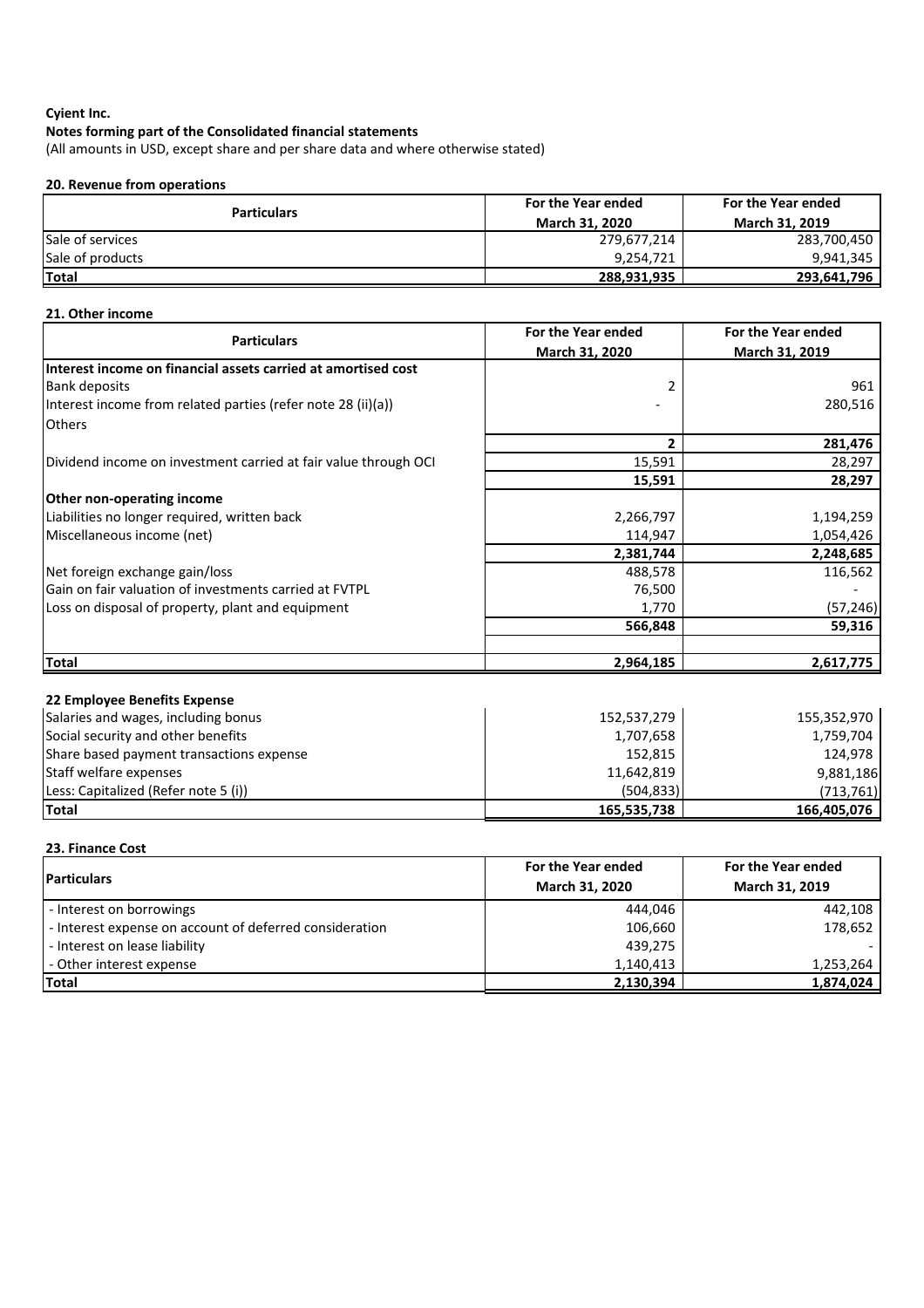(All amounts in USD, except share and per share data and where otherwise stated)

# **20. Revenue from operations**

| <b>Particulars</b>      | For the Year ended    | For the Year ended    |
|-------------------------|-----------------------|-----------------------|
|                         | <b>March 31, 2020</b> | <b>March 31, 2019</b> |
| <b>Sale of services</b> | 279,677,214           | 283,700,450           |
| Sale of products        | 9,254,721             | 9,941,345             |
| Total                   | 288,931,935           | 293,641,796           |

# **21. Other income**

| <b>Particulars</b>                                              | For the Year ended | For the Year ended |
|-----------------------------------------------------------------|--------------------|--------------------|
|                                                                 | March 31, 2020     | March 31, 2019     |
| Interest income on financial assets carried at amortised cost   |                    |                    |
| <b>Bank deposits</b>                                            | 2                  | 961                |
| Interest income from related parties (refer note 28 (ii)(a))    |                    | 280,516            |
| <b>Others</b>                                                   |                    |                    |
|                                                                 | 2                  | 281,476            |
| Dividend income on investment carried at fair value through OCI | 15,591             | 28,297             |
|                                                                 | 15,591             | 28,297             |
| Other non-operating income                                      |                    |                    |
| Liabilities no longer required, written back                    | 2,266,797          | 1,194,259          |
| Miscellaneous income (net)                                      | 114,947            | 1,054,426          |
|                                                                 | 2,381,744          | 2,248,685          |
| Net foreign exchange gain/loss                                  | 488,578            | 116,562            |
| Gain on fair valuation of investments carried at FVTPL          | 76,500             |                    |
| Loss on disposal of property, plant and equipment               | 1,770              | (57, 246)          |
|                                                                 | 566,848            | 59,316             |
|                                                                 |                    |                    |
| <b>Total</b>                                                    | 2,964,185          | 2,617,775          |
|                                                                 |                    |                    |
| 22 Employee Benefits Expense                                    |                    |                    |
| Salaries and wages, including bonus                             | 152,537,279        | 155,352,970        |
| Social security and other benefits                              | 1,707,658          | 1,759,704          |
| Share based payment transactions expense                        | 152,815            | 124,978            |
| Staff welfare expenses                                          | 11,642,819         | 9,881,186          |
| Less: Capitalized (Refer note 5 (i))                            | (504, 833)         | (713, 761)         |
| <b>Total</b>                                                    | 165,535,738        | 166,405,076        |
|                                                                 |                    |                    |
| 23. Finance Cost                                                |                    |                    |
|                                                                 | For the Year ended | For the Year ended |

| <b>IParticulars</b>                                     | For the Year ended<br>March 31, 2020 | For the Year ended<br>March 31, 2019 |
|---------------------------------------------------------|--------------------------------------|--------------------------------------|
| - Interest on borrowings                                | 444.046                              | 442,108                              |
| - Interest expense on account of deferred consideration | 106,660                              | 178,652                              |
| - Interest on lease liability                           | 439,275                              |                                      |
| - Other interest expense                                | 1,140,413                            | 1,253,264                            |
| <b>Total</b>                                            | 2,130,394                            | 1,874,024                            |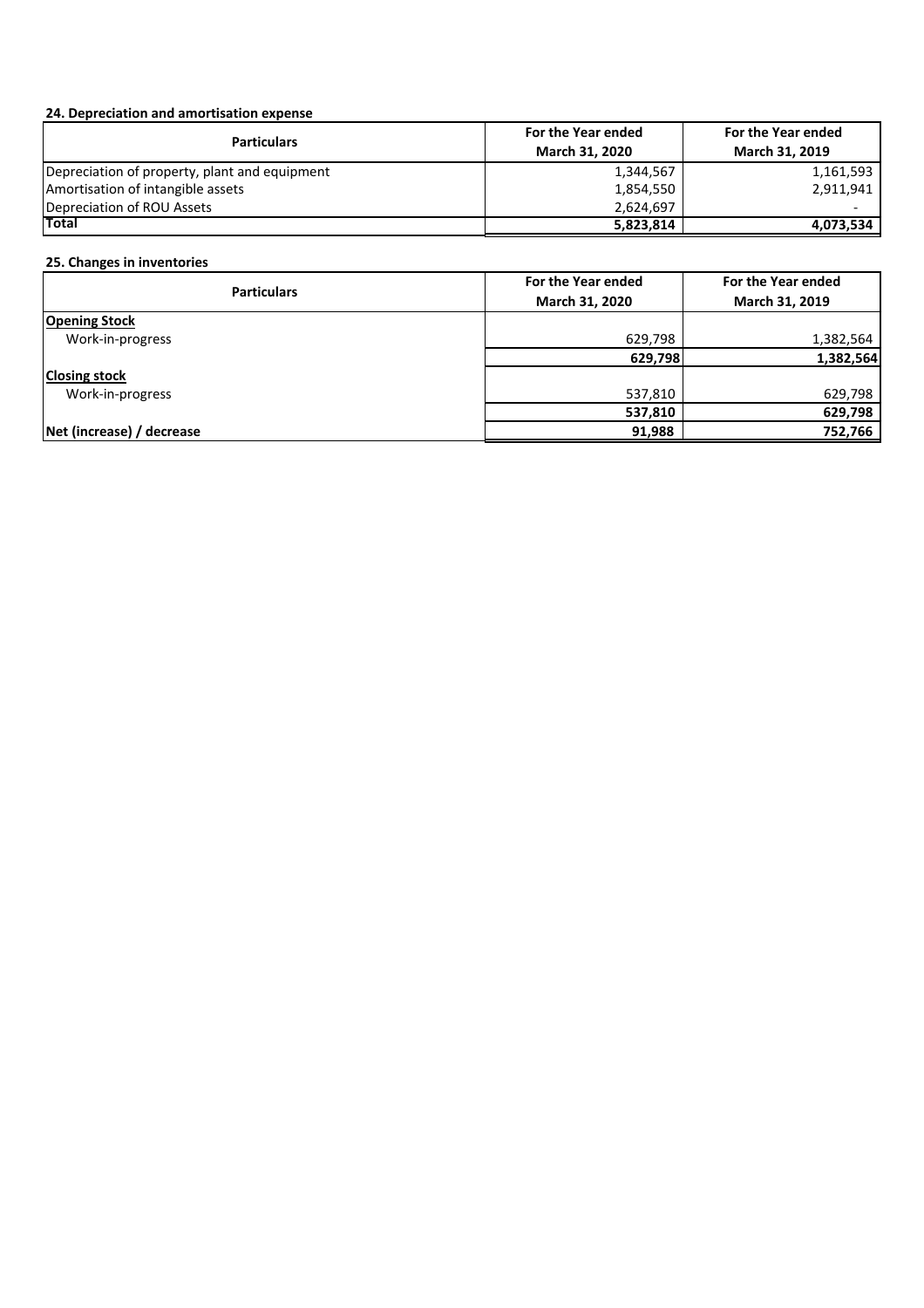# **24. Depreciation and amortisation expense**

| <b>Particulars</b>                            | For the Year ended | For the Year ended    |
|-----------------------------------------------|--------------------|-----------------------|
|                                               | March 31, 2020     | <b>March 31, 2019</b> |
| Depreciation of property, plant and equipment | 1,344,567          | 1,161,593             |
| Amortisation of intangible assets             | 1,854,550          | 2,911,941             |
| Depreciation of ROU Assets                    | 2,624,697          |                       |
| Total                                         | 5,823,814          | 4,073,534             |

# **25. Changes in inventories**

| <b>Particulars</b>        | For the Year ended | For the Year ended |
|---------------------------|--------------------|--------------------|
|                           | March 31, 2020     | March 31, 2019     |
| <b>Opening Stock</b>      |                    |                    |
| Work-in-progress          | 629,798            | 1,382,564          |
|                           | 629,798            | 1,382,564          |
| <b>Closing stock</b>      |                    |                    |
| Work-in-progress          | 537,810            | 629,798            |
|                           | 537,810            | 629,798            |
| Net (increase) / decrease | 91,988             | 752,766            |